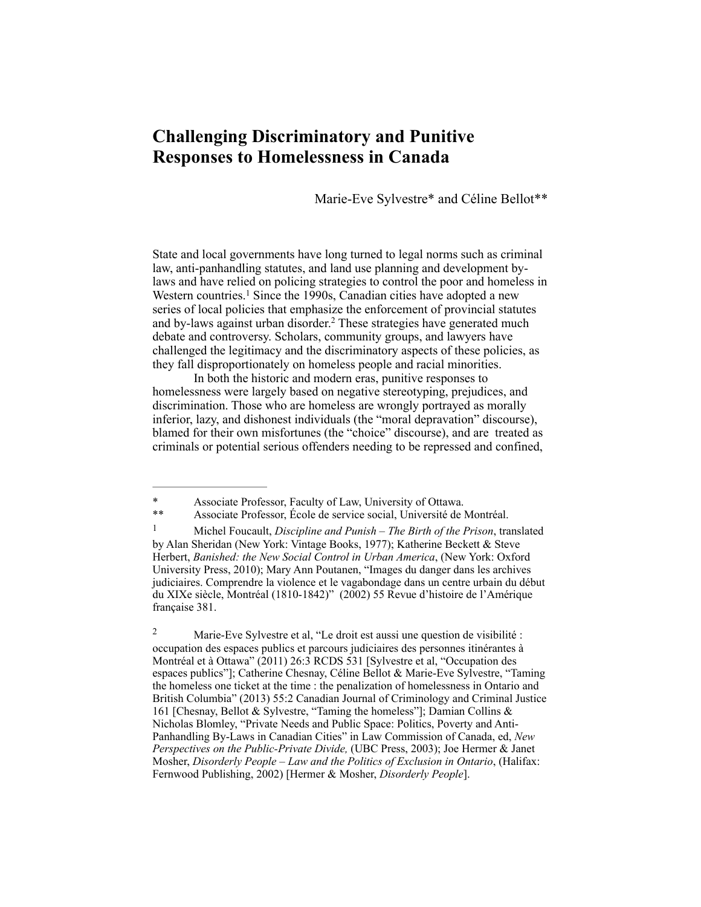# **Challenging Discriminatory and Punitive Responses to Homelessness in Canada**

Marie-Eve Sylvestre\* and Céline Bellot\*\*

State and local governments have long turned to legal norms such as criminal law, anti-panhandling statutes, and land use planning and development bylaws and have relied on policing strategies to control the poor and homeless in Western countries.<sup>1</sup> Since the 1990s, Canadian cities have adopted a new series of local policies that emphasize the enforcement of provincial statutes and by-laws against urban disorder.<sup>2</sup> These strategies have generated much debate and controversy. Scholars, community groups, and lawyers have challenged the legitimacy and the discriminatory aspects of these policies, as they fall disproportionately on homeless people and racial minorities.

In both the historic and modern eras, punitive responses to homelessness were largely based on negative stereotyping, prejudices, and discrimination. Those who are homeless are wrongly portrayed as morally inferior, lazy, and dishonest individuals (the "moral depravation" discourse), blamed for their own misfortunes (the "choice" discourse), and are treated as criminals or potential serious offenders needing to be repressed and confined,

<sup>\*</sup> Associate Professor, Faculty of Law, University of Ottawa.

<sup>\*\*</sup> Associate Professor, École de service social, Université de Montréal.

Michel Foucault, *Discipline and Punish – The Birth of the Prison*, translated 1 by Alan Sheridan (New York: Vintage Books, 1977); Katherine Beckett & Steve Herbert, *Banished: the New Social Control in Urban America*, (New York: Oxford University Press, 2010); Mary Ann Poutanen, "Images du danger dans les archives judiciaires. Comprendre la violence et le vagabondage dans un centre urbain du début du XIXe siècle, Montréal (1810-1842)" (2002) 55 Revue d'histoire de l'Amérique française 381.

Marie-Eve Sylvestre et al, "Le droit est aussi une question de visibilité : 2 occupation des espaces publics et parcours judiciaires des personnes itinérantes à Montréal et à Ottawa" (2011) 26:3 RCDS 531 [Sylvestre et al, "Occupation des espaces publics"]; Catherine Chesnay, Céline Bellot & Marie-Eve Sylvestre, "Taming the homeless one ticket at the time : the penalization of homelessness in Ontario and British Columbia" (2013) 55:2 Canadian Journal of Criminology and Criminal Justice 161 [Chesnay, Bellot & Sylvestre, "Taming the homeless"]; Damian Collins & Nicholas Blomley, "Private Needs and Public Space: Politics, Poverty and Anti-Panhandling By-Laws in Canadian Cities" in Law Commission of Canada, ed, *New Perspectives on the Public-Private Divide,* (UBC Press, 2003); Joe Hermer & Janet Mosher, *Disorderly People – Law and the Politics of Exclusion in Ontario*, (Halifax: Fernwood Publishing, 2002) [Hermer & Mosher, *Disorderly People*].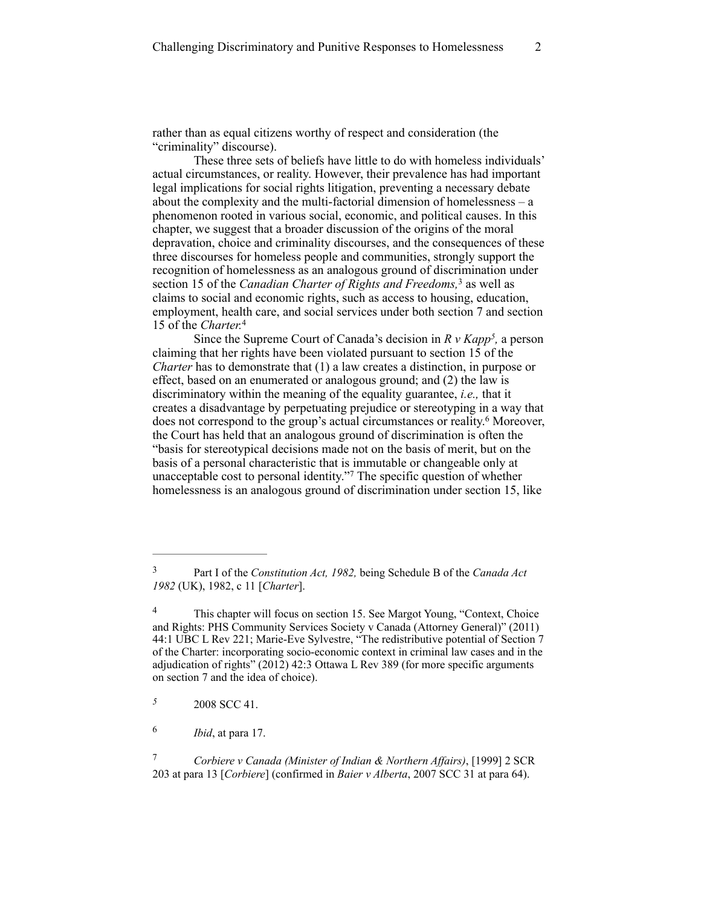rather than as equal citizens worthy of respect and consideration (the "criminality" discourse).

These three sets of beliefs have little to do with homeless individuals' actual circumstances, or reality. However, their prevalence has had important legal implications for social rights litigation, preventing a necessary debate about the complexity and the multi-factorial dimension of homelessness – a phenomenon rooted in various social, economic, and political causes. In this chapter, we suggest that a broader discussion of the origins of the moral depravation, choice and criminality discourses, and the consequences of these three discourses for homeless people and communities, strongly support the recognition of homelessness as an analogous ground of discrimination under section 15 of the *Canadian Charter of Rights and Freedoms*,<sup>3</sup> as well as claims to social and economic rights, such as access to housing, education, employment, health care, and social services under both section 7 and section 15 of the *Charter.*<sup>4</sup>

Since the Supreme Court of Canada's decision in  $R \, v$   $Kapp^5$ , a person claiming that her rights have been violated pursuant to section 15 of the *Charter* has to demonstrate that (1) a law creates a distinction, in purpose or effect, based on an enumerated or analogous ground; and (2) the law is discriminatory within the meaning of the equality guarantee, *i.e.,* that it creates a disadvantage by perpetuating prejudice or stereotyping in a way that does not correspond to the group's actual circumstances or reality.<sup>6</sup> Moreover, the Court has held that an analogous ground of discrimination is often the "basis for stereotypical decisions made not on the basis of merit, but on the basis of a personal characteristic that is immutable or changeable only at unacceptable cost to personal identity."<sup>7</sup> The specific question of whether homelessness is an analogous ground of discrimination under section 15, like

Part I of the *Constitution Act, 1982,* being Schedule B of the *Canada Act* <sup>3</sup> *1982* (UK), 1982, c 11 [*Charter*].

<sup>&</sup>lt;sup>4</sup> This chapter will focus on section 15. See Margot Young, "Context, Choice and Rights: PHS Community Services Society v Canada (Attorney General)" (2011) 44:1 UBC L Rev 221; Marie-Eve Sylvestre, "The redistributive potential of Section 7 of the Charter: incorporating socio-economic context in criminal law cases and in the adjudication of rights" (2012) 42:3 Ottawa L Rev 389 (for more specific arguments on section 7 and the idea of choice).

 <sup>2008</sup> SCC 41. *<sup>5</sup>*

*Ibid*, at para 17. <sup>6</sup>

*Corbiere v Canada (Minister of Indian & Northern Affairs)*, [1999] 2 SCR 7 203 at para 13 [*Corbiere*] (confirmed in *Baier v Alberta*, 2007 SCC 31 at para 64).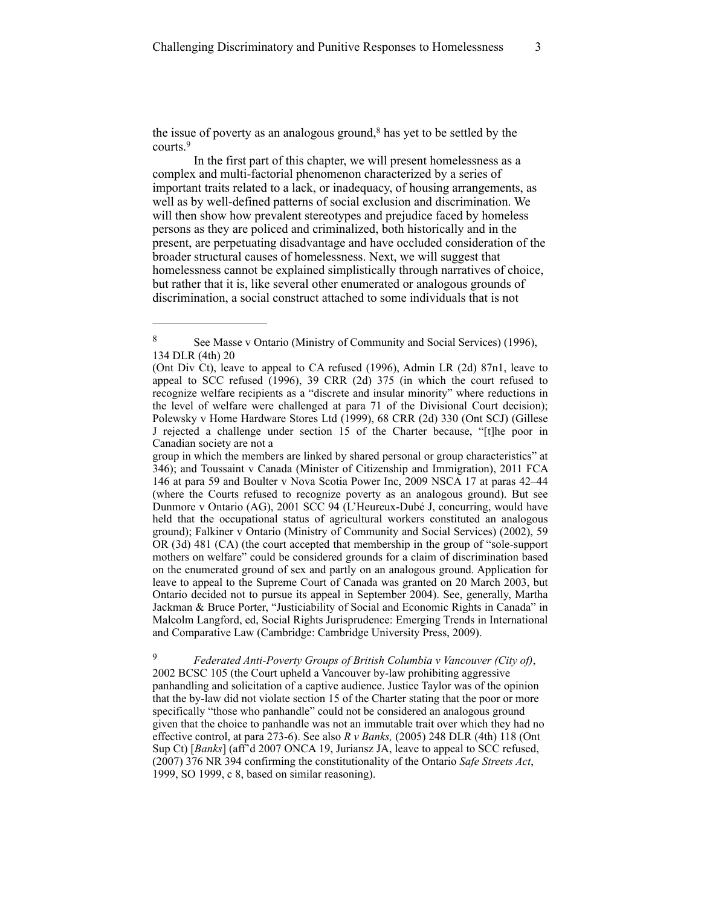the issue of poverty as an analogous ground, $\frac{8}{3}$  has yet to be settled by the courts.<sup>9</sup>

In the first part of this chapter, we will present homelessness as a complex and multi-factorial phenomenon characterized by a series of important traits related to a lack, or inadequacy, of housing arrangements, as well as by well-defined patterns of social exclusion and discrimination. We will then show how prevalent stereotypes and prejudice faced by homeless persons as they are policed and criminalized, both historically and in the present, are perpetuating disadvantage and have occluded consideration of the broader structural causes of homelessness. Next, we will suggest that homelessness cannot be explained simplistically through narratives of choice, but rather that it is, like several other enumerated or analogous grounds of discrimination, a social construct attached to some individuals that is not

group in which the members are linked by shared personal or group characteristics" at 346); and Toussaint v Canada (Minister of Citizenship and Immigration), 2011 FCA 146 at para 59 and Boulter v Nova Scotia Power Inc, 2009 NSCA 17 at paras 42–44 (where the Courts refused to recognize poverty as an analogous ground). But see Dunmore v Ontario (AG), 2001 SCC 94 (L'Heureux-Dubé J, concurring, would have held that the occupational status of agricultural workers constituted an analogous ground); Falkiner v Ontario (Ministry of Community and Social Services) (2002), 59 OR (3d) 481 (CA) (the court accepted that membership in the group of "sole-support mothers on welfare" could be considered grounds for a claim of discrimination based on the enumerated ground of sex and partly on an analogous ground. Application for leave to appeal to the Supreme Court of Canada was granted on 20 March 2003, but Ontario decided not to pursue its appeal in September 2004). See, generally, Martha Jackman & Bruce Porter, "Justiciability of Social and Economic Rights in Canada" in Malcolm Langford, ed, Social Rights Jurisprudence: Emerging Trends in International and Comparative Law (Cambridge: Cambridge University Press, 2009).

 *Federated Anti-Poverty Groups of British Columbia v Vancouver (City of)*, 9 2002 BCSC 105 (the Court upheld a Vancouver by-law prohibiting aggressive panhandling and solicitation of a captive audience. Justice Taylor was of the opinion that the by-law did not violate section 15 of the Charter stating that the poor or more specifically "those who panhandle" could not be considered an analogous ground given that the choice to panhandle was not an immutable trait over which they had no effective control, at para 273-6). See also *R v Banks,* (2005) 248 DLR (4th) 118 (Ont Sup Ct) [*Banks*] (aff'd 2007 ONCA 19, Juriansz JA, leave to appeal to SCC refused, (2007) 376 NR 394 confirming the constitutionality of the Ontario *Safe Streets Act*, 1999, SO 1999, c 8, based on similar reasoning).

<sup>&</sup>lt;sup>8</sup> See Masse v Ontario (Ministry of Community and Social Services) (1996), 134 DLR (4th) 20

<sup>(</sup>Ont Div Ct), leave to appeal to CA refused (1996), Admin LR (2d) 87n1, leave to appeal to SCC refused (1996), 39 CRR (2d) 375 (in which the court refused to recognize welfare recipients as a "discrete and insular minority" where reductions in the level of welfare were challenged at para 71 of the Divisional Court decision); Polewsky v Home Hardware Stores Ltd (1999), 68 CRR (2d) 330 (Ont SCJ) (Gillese J rejected a challenge under section 15 of the Charter because, "[t]he poor in Canadian society are not a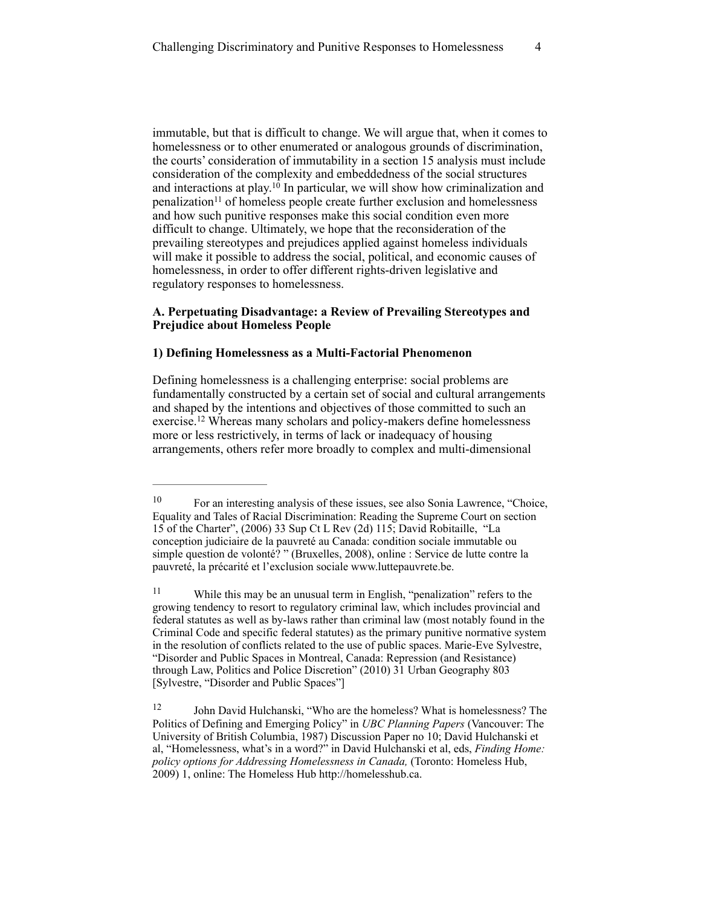immutable, but that is difficult to change. We will argue that, when it comes to homelessness or to other enumerated or analogous grounds of discrimination, the courts' consideration of immutability in a section 15 analysis must include consideration of the complexity and embeddedness of the social structures and interactions at play.<sup>10</sup> In particular, we will show how criminalization and penalization<sup>11</sup> of homeless people create further exclusion and homelessness and how such punitive responses make this social condition even more difficult to change. Ultimately, we hope that the reconsideration of the prevailing stereotypes and prejudices applied against homeless individuals will make it possible to address the social, political, and economic causes of homelessness, in order to offer different rights-driven legislative and regulatory responses to homelessness.

# **A. Perpetuating Disadvantage: a Review of Prevailing Stereotypes and Prejudice about Homeless People**

## **1) Defining Homelessness as a Multi-Factorial Phenomenon**

Defining homelessness is a challenging enterprise: social problems are fundamentally constructed by a certain set of social and cultural arrangements and shaped by the intentions and objectives of those committed to such an exercise.<sup>12</sup> Whereas many scholars and policy-makers define homelessness more or less restrictively, in terms of lack or inadequacy of housing arrangements, others refer more broadly to complex and multi-dimensional

For an interesting analysis of these issues, see also Sonia Lawrence, "Choice, 10 Equality and Tales of Racial Discrimination: Reading the Supreme Court on section 15 of the Charter", (2006) 33 Sup Ct L Rev (2d) 115; David Robitaille, "La conception judiciaire de la pauvreté au Canada: condition sociale immutable ou simple question de volonté? " (Bruxelles, 2008), online : Service de lutte contre la pauvreté, la précarité et l'exclusion sociale [www.luttepauvrete.be](http://www.luttepauvrete.be).

 $11$  While this may be an unusual term in English, "penalization" refers to the growing tendency to resort to regulatory criminal law, which includes provincial and federal statutes as well as by-laws rather than criminal law (most notably found in the Criminal Code and specific federal statutes) as the primary punitive normative system in the resolution of conflicts related to the use of public spaces. Marie-Eve Sylvestre, "Disorder and Public Spaces in Montreal, Canada: Repression (and Resistance) through Law, Politics and Police Discretion" (2010) 31 Urban Geography 803 [Sylvestre, "Disorder and Public Spaces"]

<sup>&</sup>lt;sup>12</sup> John David Hulchanski, "Who are the homeless? What is homelessness? The Politics of Defining and Emerging Policy" in *UBC Planning Papers* (Vancouver: The University of British Columbia, 1987) Discussion Paper no 10; David Hulchanski et al, "Homelessness, what's in a word?" in David Hulchanski et al, eds, *Finding Home: policy options for Addressing Homelessness in Canada,* (Toronto: Homeless Hub, 2009) 1, online: The Homeless Hub <http://homelesshub.ca>.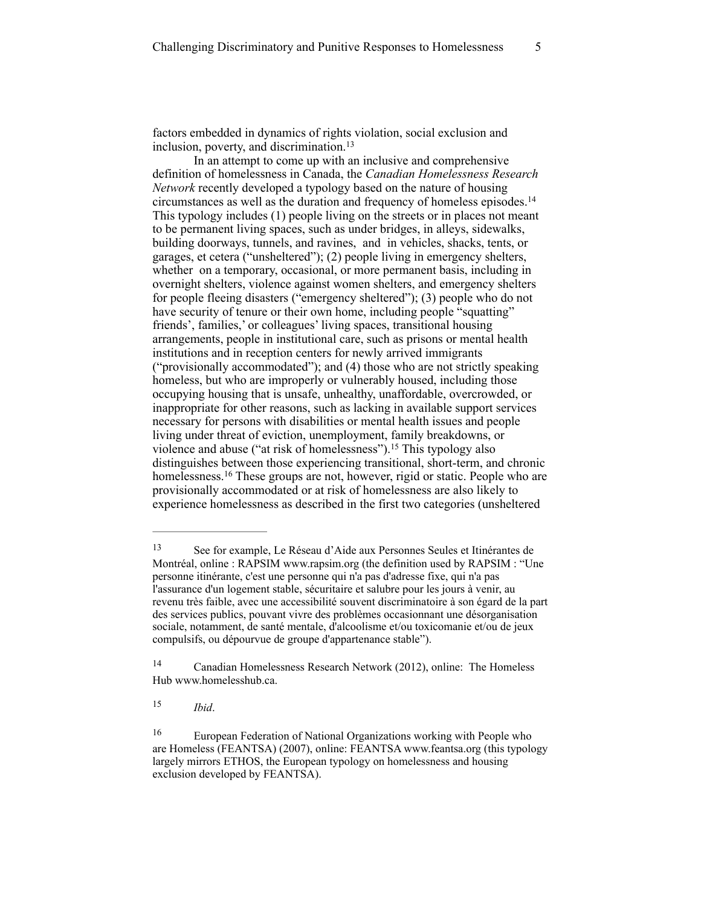factors embedded in dynamics of rights violation, social exclusion and inclusion, poverty, and discrimination.<sup>13</sup>

In an attempt to come up with an inclusive and comprehensive definition of homelessness in Canada, the *Canadian Homelessness Research Network* recently developed a typology based on the nature of housing circumstances as well as the duration and frequency of homeless episodes.14 This typology includes (1) people living on the streets or in places not meant to be permanent living spaces, such as under bridges, in alleys, sidewalks, building doorways, tunnels, and ravines, and in vehicles, shacks, tents, or garages, et cetera ("unsheltered"); (2) people living in emergency shelters, whether on a temporary, occasional, or more permanent basis, including in overnight shelters, violence against women shelters, and emergency shelters for people fleeing disasters ("emergency sheltered"); (3) people who do not have security of tenure or their own home, including people "squatting" friends', families,' or colleagues' living spaces, transitional housing arrangements, people in institutional care, such as prisons or mental health institutions and in reception centers for newly arrived immigrants ("provisionally accommodated"); and (4) those who are not strictly speaking homeless, but who are improperly or vulnerably housed, including those occupying housing that is unsafe, unhealthy, unaffordable, overcrowded, or inappropriate for other reasons, such as lacking in available support services necessary for persons with disabilities or mental health issues and people living under threat of eviction, unemployment, family breakdowns, or violence and abuse ("at risk of homelessness").<sup>15</sup> This typology also distinguishes between those experiencing transitional, short-term, and chronic homelessness.<sup>16</sup> These groups are not, however, rigid or static. People who are provisionally accommodated or at risk of homelessness are also likely to experience homelessness as described in the first two categories (unsheltered

 $15$  *Ibid.* 

<sup>13</sup> See for example, Le Réseau d'Aide aux Personnes Seules et Itinérantes de Montréal, online : RAPSIM [www.rapsim.org](http://www.rapsim.org) (the definition used by RAPSIM : "Une personne itinérante, c'est une personne qui n'a pas d'adresse fixe, qui n'a pas l'assurance d'un logement stable, sécuritaire et salubre pour les jours à venir, au revenu très faible, avec une accessibilité souvent discriminatoire à son égard de la part des services publics, pouvant vivre des problèmes occasionnant une désorganisation sociale, notamment, de santé mentale, d'alcoolisme et/ou toxicomanie et/ou de jeux compulsifs, ou dépourvue de groupe d'appartenance stable").

<sup>&</sup>lt;sup>14</sup> Canadian Homelessness Research Network (2012), online: The Homeless Hub [www.homelesshub.ca](http://www.homelesshub.ca).

<sup>&</sup>lt;sup>16</sup> European Federation of National Organizations working with People who are Homeless (FEANTSA) (2007), online: FEANTSA www.feantsa.org (this typology largely mirrors ETHOS, the European typology on homelessness and housing exclusion developed by FEANTSA).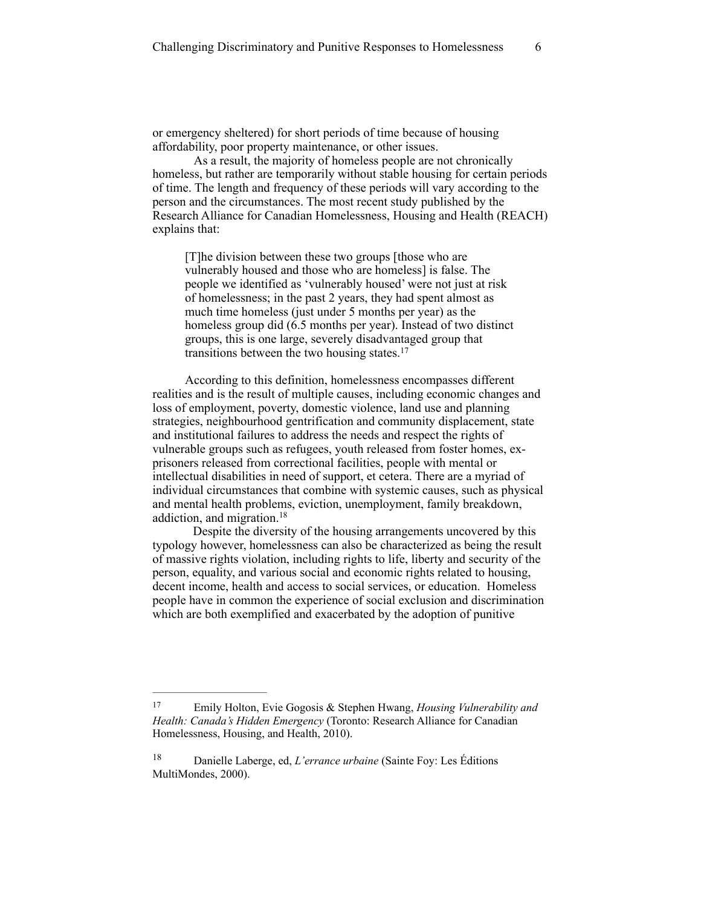or emergency sheltered) for short periods of time because of housing affordability, poor property maintenance, or other issues.

As a result, the majority of homeless people are not chronically homeless, but rather are temporarily without stable housing for certain periods of time. The length and frequency of these periods will vary according to the person and the circumstances. The most recent study published by the Research Alliance for Canadian Homelessness, Housing and Health (REACH) explains that:

[T]he division between these two groups [those who are vulnerably housed and those who are homeless] is false. The people we identified as 'vulnerably housed' were not just at risk of homelessness; in the past 2 years, they had spent almost as much time homeless (just under 5 months per year) as the homeless group did (6.5 months per year). Instead of two distinct groups, this is one large, severely disadvantaged group that transitions between the two housing states.17

According to this definition, homelessness encompasses different realities and is the result of multiple causes, including economic changes and loss of employment, poverty, domestic violence, land use and planning strategies, neighbourhood gentrification and community displacement, state and institutional failures to address the needs and respect the rights of vulnerable groups such as refugees, youth released from foster homes, exprisoners released from correctional facilities, people with mental or intellectual disabilities in need of support, et cetera. There are a myriad of individual circumstances that combine with systemic causes, such as physical and mental health problems, eviction, unemployment, family breakdown, addiction, and migration. 18

Despite the diversity of the housing arrangements uncovered by this typology however, homelessness can also be characterized as being the result of massive rights violation, including rights to life, liberty and security of the person, equality, and various social and economic rights related to housing, decent income, health and access to social services, or education. Homeless people have in common the experience of social exclusion and discrimination which are both exemplified and exacerbated by the adoption of punitive

Emily Holton, Evie Gogosis & Stephen Hwang, *Housing Vulnerability and* <sup>17</sup> *Health: Canada's Hidden Emergency* (Toronto: Research Alliance for Canadian Homelessness, Housing, and Health, 2010).

Danielle Laberge, ed, *L'errance urbaine* (Sainte Foy: Les Éditions 18 MultiMondes, 2000).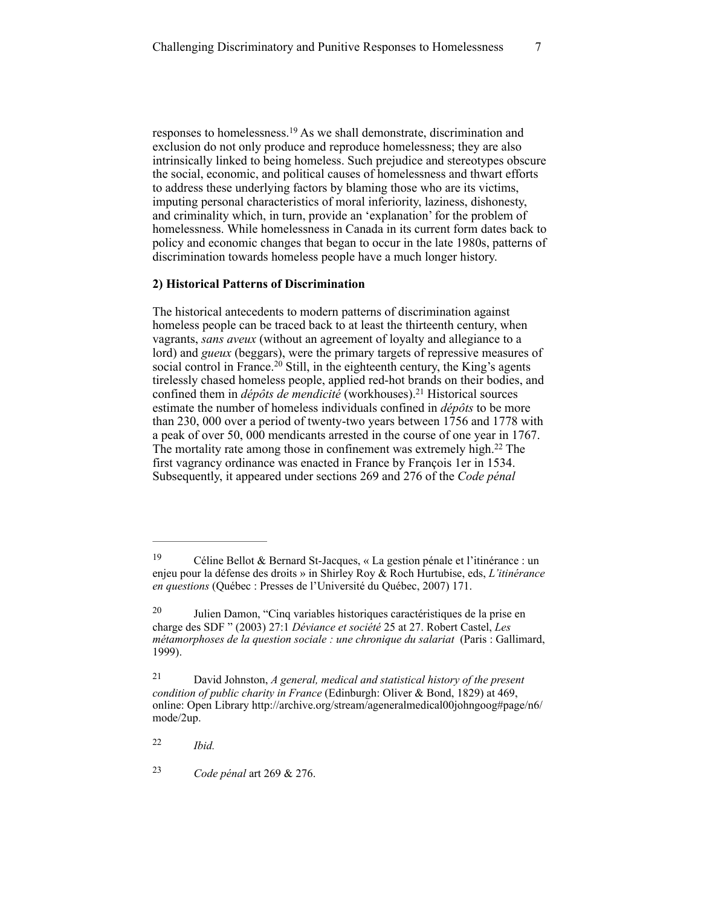responses to homelessness.<sup>19</sup> As we shall demonstrate, discrimination and exclusion do not only produce and reproduce homelessness; they are also intrinsically linked to being homeless. Such prejudice and stereotypes obscure the social, economic, and political causes of homelessness and thwart efforts to address these underlying factors by blaming those who are its victims, imputing personal characteristics of moral inferiority, laziness, dishonesty, and criminality which, in turn, provide an 'explanation' for the problem of homelessness. While homelessness in Canada in its current form dates back to policy and economic changes that began to occur in the late 1980s, patterns of discrimination towards homeless people have a much longer history.

## **2) Historical Patterns of Discrimination**

The historical antecedents to modern patterns of discrimination against homeless people can be traced back to at least the thirteenth century, when vagrants, *sans aveux* (without an agreement of loyalty and allegiance to a lord) and *gueux* (beggars), were the primary targets of repressive measures of social control in France.<sup>20</sup> Still, in the eighteenth century, the King's agents tirelessly chased homeless people, applied red-hot brands on their bodies, and confined them in *dépôts de mendicité* (workhouses).<sup>21</sup> Historical sources estimate the number of homeless individuals confined in *dépôts* to be more than 230, 000 over a period of twenty-two years between 1756 and 1778 with a peak of over 50, 000 mendicants arrested in the course of one year in 1767. The mortality rate among those in confinement was extremely high. $22$  The first vagrancy ordinance was enacted in France by François 1er in 1534. Subsequently, it appeared under sections 269 and 276 of the *Code pénal*

*Ibid.* <sup>22</sup>

*Code pénal* art 269 & 276. <sup>23</sup>

Céline Bellot & Bernard St-Jacques, « La gestion pénale et l'itinérance : un 19 enjeu pour la défense des droits » in Shirley Roy & Roch Hurtubise, eds, *L'itinérance en questions* (Québec : Presses de l'Université du Québec, 2007) 171.

 $20$  Julien Damon, "Cinq variables historiques caractéristiques de la prise en charge des SDF " (2003) 27:1 *Déviance et société* 25 at 27. Robert Castel, *Les métamorphoses de la question sociale : une chronique du salariat* (Paris : Gallimard, 1999).

David Johnston, *A general, medical and statistical history of the present* <sup>21</sup> *condition of public charity in France* (Edinburgh: Oliver & Bond, 1829) at 469, online: Open Library http://archive.org/stream/ageneralmedical00johngoog#page/n6/ mode/2up.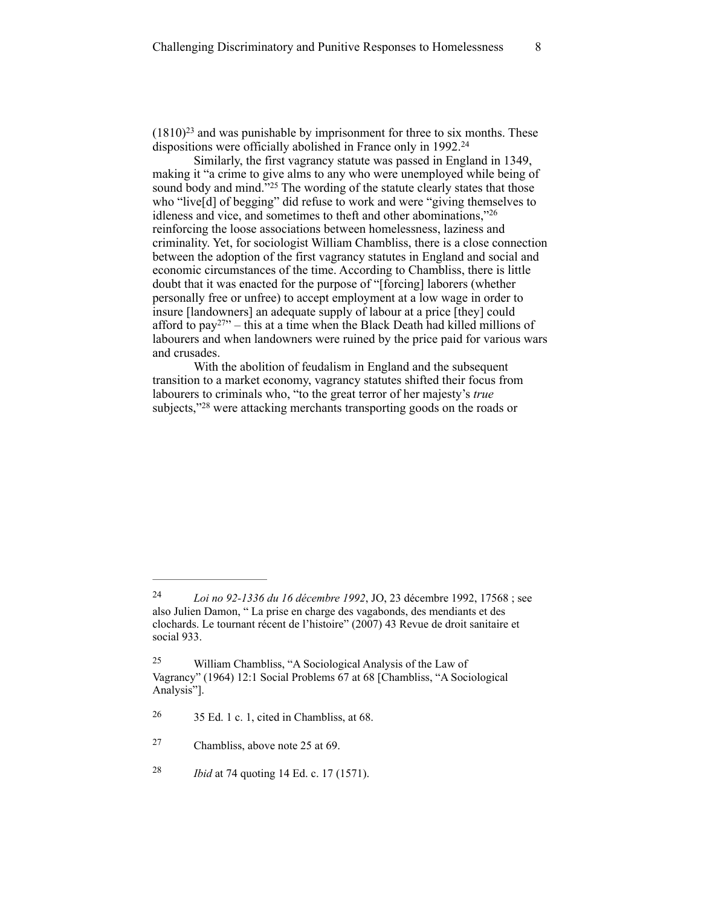$(1810)^{23}$  and was punishable by imprisonment for three to six months. These dispositions were officially abolished in France only in 1992.<sup>24</sup>

Similarly, the first vagrancy statute was passed in England in 1349, making it "a crime to give alms to any who were unemployed while being of sound body and mind."<sup>25</sup> The wording of the statute clearly states that those who "live[d] of begging" did refuse to work and were "giving themselves to idleness and vice, and sometimes to theft and other abominations,"26 reinforcing the loose associations between homelessness, laziness and criminality. Yet, for sociologist William Chambliss, there is a close connection between the adoption of the first vagrancy statutes in England and social and economic circumstances of the time. According to Chambliss, there is little doubt that it was enacted for the purpose of "[forcing] laborers (whether personally free or unfree) to accept employment at a low wage in order to insure [landowners] an adequate supply of labour at a price [they] could afford to pay<sup> $27$ </sup> – this at a time when the Black Death had killed millions of labourers and when landowners were ruined by the price paid for various wars and crusades.

With the abolition of feudalism in England and the subsequent transition to a market economy, vagrancy statutes shifted their focus from labourers to criminals who, "to the great terror of her majesty's *true* subjects,"<sup>28</sup> were attacking merchants transporting goods on the roads or

*Loi no 92-1336 du 16 décembre 1992*, JO, 23 décembre 1992, 17568 ; see 24 also Julien Damon, " La prise en charge des vagabonds, des mendiants et des clochards. Le tournant récent de l'histoire" (2007) 43 Revue de droit sanitaire et social 933.

<sup>&</sup>lt;sup>25</sup> William Chambliss, "A Sociological Analysis of the Law of Vagrancy" (1964) 12:1 Social Problems 67 at 68 [Chambliss, "A Sociological Analysis"].

 $26$  35 Ed. 1 c. 1, cited in Chambliss, at 68.

Chambliss, above note 25 at 69. <sup>27</sup>

*Ibid* at 74 quoting 14 Ed. c. 17 (1571). <sup>28</sup>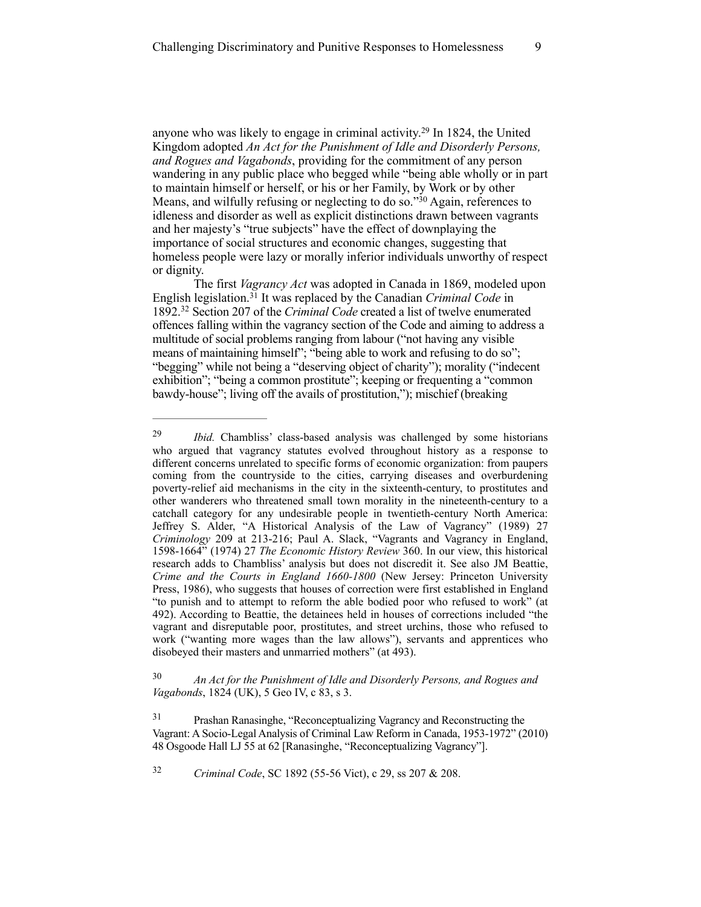anyone who was likely to engage in criminal activity.<sup>29</sup> In 1824, the United Kingdom adopted *An Act for the Punishment of Idle and Disorderly Persons, and Rogues and Vagabonds*, providing for the commitment of any person wandering in any public place who begged while "being able wholly or in part to maintain himself or herself, or his or her Family, by Work or by other Means, and wilfully refusing or neglecting to do so.<sup>30</sup> Again, references to idleness and disorder as well as explicit distinctions drawn between vagrants and her majesty's "true subjects" have the effect of downplaying the importance of social structures and economic changes, suggesting that homeless people were lazy or morally inferior individuals unworthy of respect or dignity.

The first *Vagrancy Act* was adopted in Canada in 1869, modeled upon English legislation.<sup>31</sup> It was replaced by the Canadian *Criminal Code* in 1892.<sup>32</sup> Section 207 of the *Criminal Code* created a list of twelve enumerated offences falling within the vagrancy section of the Code and aiming to address a multitude of social problems ranging from labour ("not having any visible means of maintaining himself"; "being able to work and refusing to do so"; "begging" while not being a "deserving object of charity"); morality ("indecent exhibition"; "being a common prostitute"; keeping or frequenting a "common bawdy-house"; living off the avails of prostitution,"); mischief (breaking

 *An Act for the Punishment of Idle and Disorderly Persons, and Rogues and* <sup>30</sup> *Vagabonds*, 1824 (UK), 5 Geo IV, c 83, s 3.

<sup>&</sup>lt;sup>29</sup> *Ibid.* Chambliss' class-based analysis was challenged by some historians who argued that vagrancy statutes evolved throughout history as a response to different concerns unrelated to specific forms of economic organization: from paupers coming from the countryside to the cities, carrying diseases and overburdening poverty-relief aid mechanisms in the city in the sixteenth-century, to prostitutes and other wanderers who threatened small town morality in the nineteenth-century to a catchall category for any undesirable people in twentieth-century North America: Jeffrey S. Alder, "A Historical Analysis of the Law of Vagrancy" (1989) 27 *Criminology* 209 at 213-216; Paul A. Slack, "Vagrants and Vagrancy in England, 1598-1664" (1974) 27 *The Economic History Review* 360. In our view, this historical research adds to Chambliss' analysis but does not discredit it. See also JM Beattie, *Crime and the Courts in England 1660-1800* (New Jersey: Princeton University Press, 1986), who suggests that houses of correction were first established in England "to punish and to attempt to reform the able bodied poor who refused to work" (at 492). According to Beattie, the detainees held in houses of corrections included "the vagrant and disreputable poor, prostitutes, and street urchins, those who refused to work ("wanting more wages than the law allows"), servants and apprentices who disobeyed their masters and unmarried mothers" (at 493).

<sup>&</sup>lt;sup>31</sup> Prashan Ranasinghe, "Reconceptualizing Vagrancy and Reconstructing the Vagrant: A Socio-Legal Analysis of Criminal Law Reform in Canada, 1953-1972" (2010) 48 Osgoode Hall LJ 55 at 62 [Ranasinghe, "Reconceptualizing Vagrancy"].

*Criminal Code*, SC 1892 (55-56 Vict), c 29, ss 207 & 208. <sup>32</sup>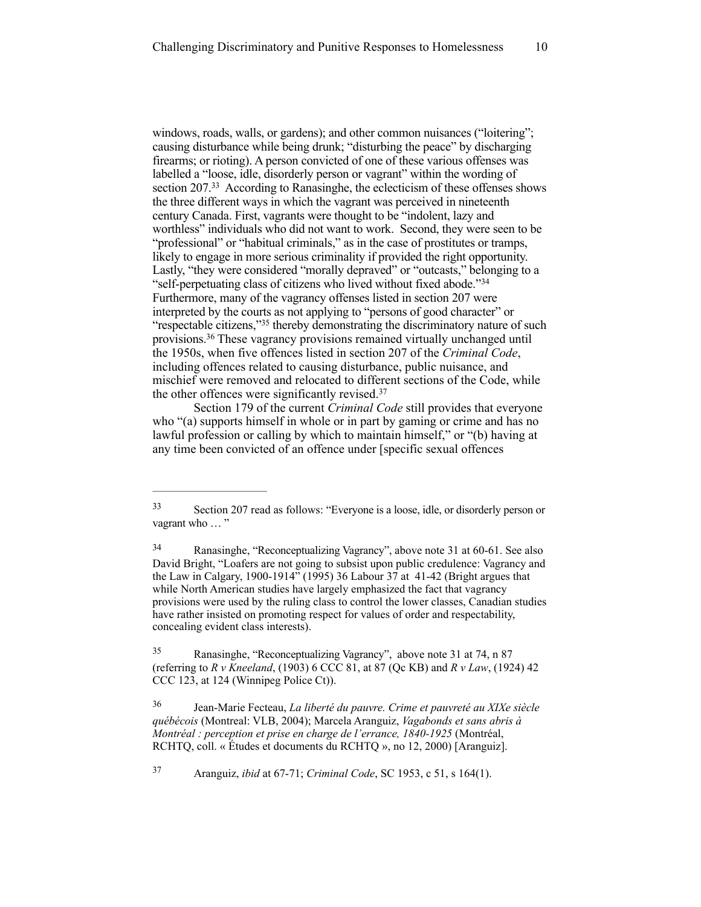windows, roads, walls, or gardens); and other common nuisances ("loitering"; causing disturbance while being drunk; "disturbing the peace" by discharging firearms; or rioting). A person convicted of one of these various offenses was labelled a "loose, idle, disorderly person or vagrant" within the wording of section  $207<sup>33</sup>$  According to Ranasinghe, the eclecticism of these offenses shows the three different ways in which the vagrant was perceived in nineteenth century Canada. First, vagrants were thought to be "indolent, lazy and worthless" individuals who did not want to work. Second, they were seen to be "professional" or "habitual criminals," as in the case of prostitutes or tramps, likely to engage in more serious criminality if provided the right opportunity. Lastly, "they were considered "morally depraved" or "outcasts," belonging to a "self-perpetuating class of citizens who lived without fixed abode."34 Furthermore, many of the vagrancy offenses listed in section 207 were interpreted by the courts as not applying to "persons of good character" or "respectable citizens," $35$  thereby demonstrating the discriminatory nature of such provisions.<sup>36</sup> These vagrancy provisions remained virtually unchanged until the 1950s, when five offences listed in section 207 of the *Criminal Code*, including offences related to causing disturbance, public nuisance, and mischief were removed and relocated to different sections of the Code, while the other offences were significantly revised.37

Section 179 of the current *Criminal Code* still provides that everyone who "(a) supports himself in whole or in part by gaming or crime and has no lawful profession or calling by which to maintain himself," or "(b) having at any time been convicted of an offence under [specific sexual offences

<sup>35</sup> Ranasinghe, "Reconceptualizing Vagrancy", above note 31 at 74, n 87 (referring to *R v Kneeland*, (1903) 6 CCC 81, at 87 (Qc KB) and *R v Law*, (1924) 42 CCC 123, at 124 (Winnipeg Police Ct)).

 Jean-Marie Fecteau, *La liberté du pauvre. Crime et pauvreté au XIXe siècle* <sup>36</sup> *québécois* (Montreal: VLB, 2004); Marcela Aranguiz, *Vagabonds et sans abris à Montréal : perception et prise en charge de l'errance, 1840-1925* (Montréal, RCHTQ, coll. « Études et documents du RCHTQ », no 12, 2000) [Aranguiz].

Aranguiz, *ibid* at 67-71; *Criminal Code*, SC 1953, c 51, s 164(1). <sup>37</sup>

Section 207 read as follows: "Everyone is a loose, idle, or disorderly person or 33 vagrant who ..."

Ranasinghe, "Reconceptualizing Vagrancy", above note 31 at 60-61. See also 34 David Bright, "Loafers are not going to subsist upon public credulence: Vagrancy and the Law in Calgary, 1900-1914" (1995) 36 Labour 37 at 41-42 (Bright argues that while North American studies have largely emphasized the fact that vagrancy provisions were used by the ruling class to control the lower classes, Canadian studies have rather insisted on promoting respect for values of order and respectability, concealing evident class interests).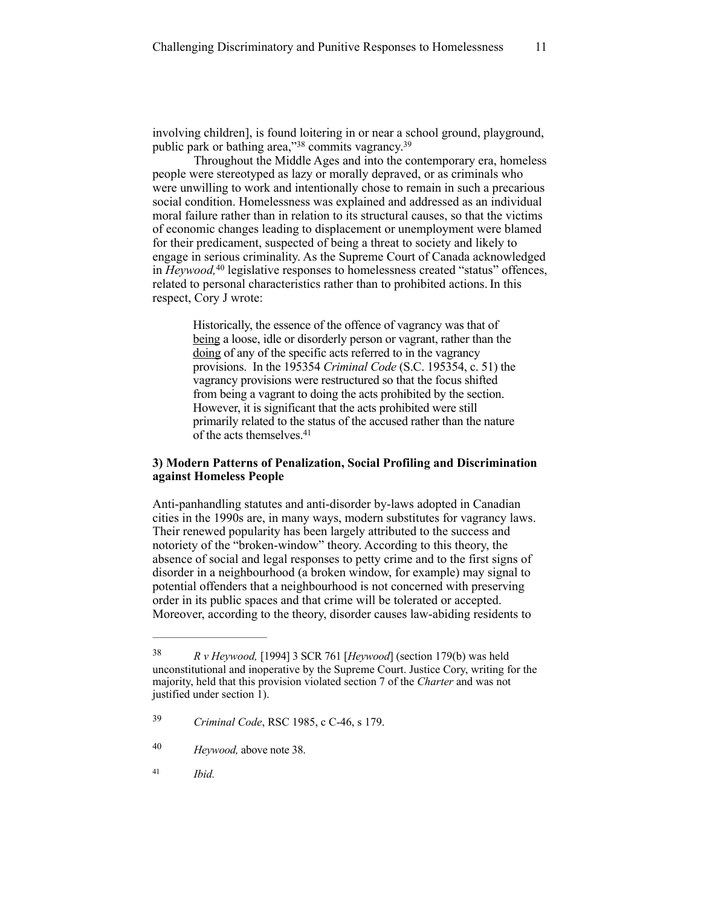involving children], is found loitering in or near a school ground, playground, public park or bathing area,"<sup>38</sup> commits vagrancy.<sup>39</sup>

Throughout the Middle Ages and into the contemporary era, homeless people were stereotyped as lazy or morally depraved, or as criminals who were unwilling to work and intentionally chose to remain in such a precarious social condition. Homelessness was explained and addressed as an individual moral failure rather than in relation to its structural causes, so that the victims of economic changes leading to displacement or unemployment were blamed for their predicament, suspected of being a threat to society and likely to engage in serious criminality. As the Supreme Court of Canada acknowledged in *Heywood*, <sup>40</sup> legislative responses to homelessness created "status" offences, related to personal characteristics rather than to prohibited actions. In this respect, Cory J wrote:

Historically, the essence of the offence of vagrancy was that of being a loose, idle or disorderly person or vagrant, rather than the doing of any of the specific acts referred to in the vagrancy provisions. In the 195354 *Criminal Code* (S.C. 195354, c. 51) the vagrancy provisions were restructured so that the focus shifted from being a vagrant to doing the acts prohibited by the section. However, it is significant that the acts prohibited were still primarily related to the status of the accused rather than the nature of the acts themselves. 41

# **3) Modern Patterns of Penalization, Social Profiling and Discrimination against Homeless People**

Anti-panhandling statutes and anti-disorder by-laws adopted in Canadian cities in the 1990s are, in many ways, modern substitutes for vagrancy laws. Their renewed popularity has been largely attributed to the success and notoriety of the "broken-window" theory. According to this theory, the absence of social and legal responses to petty crime and to the first signs of disorder in a neighbourhood (a broken window, for example) may signal to potential offenders that a neighbourhood is not concerned with preserving order in its public spaces and that crime will be tolerated or accepted. Moreover, according to the theory, disorder causes law-abiding residents to

<sup>&</sup>lt;sup>38</sup> R *v Heywood,* [1994] 3 SCR 761 [*Heywood*] (section 179(b) was held unconstitutional and inoperative by the Supreme Court. Justice Cory, writing for the majority, held that this provision violated section 7 of the *Charter* and was not justified under section 1).

*Criminal Code*, RSC 1985, c C-46, s 179. <sup>39</sup>

*Heywood,* above note 38. <sup>40</sup>

*Ibid.* <sup>41</sup>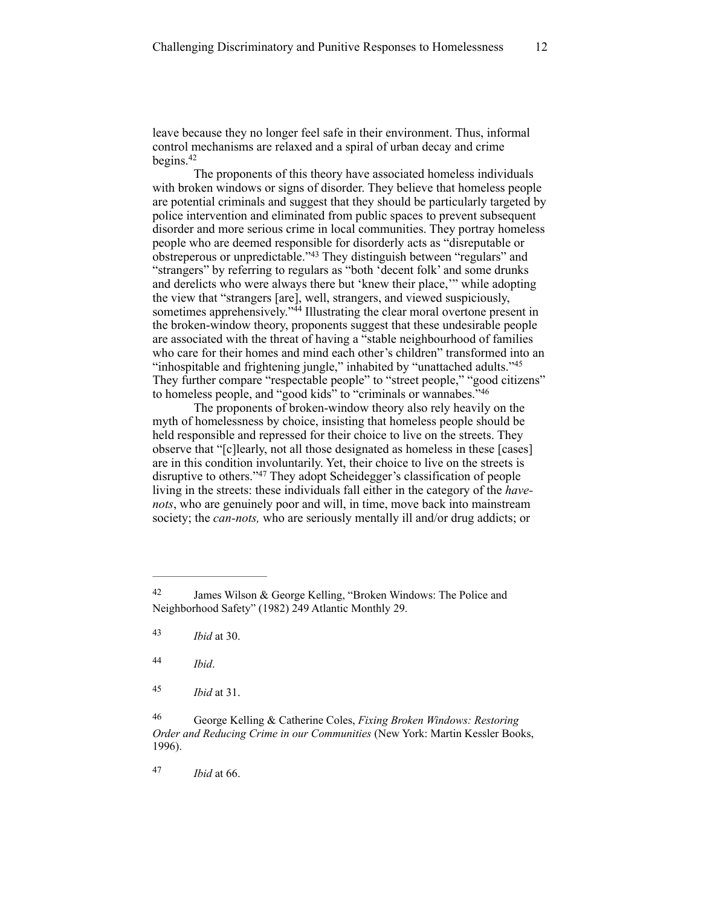leave because they no longer feel safe in their environment. Thus, informal control mechanisms are relaxed and a spiral of urban decay and crime begins. $42$ 

The proponents of this theory have associated homeless individuals with broken windows or signs of disorder. They believe that homeless people are potential criminals and suggest that they should be particularly targeted by police intervention and eliminated from public spaces to prevent subsequent disorder and more serious crime in local communities. They portray homeless people who are deemed responsible for disorderly acts as "disreputable or obstreperous or unpredictable."<sup>43</sup> They distinguish between "regulars" and "strangers" by referring to regulars as "both 'decent folk' and some drunks and derelicts who were always there but 'knew their place,'" while adopting the view that "strangers [are], well, strangers, and viewed suspiciously, sometimes apprehensively."<sup>44</sup> Illustrating the clear moral overtone present in the broken-window theory, proponents suggest that these undesirable people are associated with the threat of having a "stable neighbourhood of families who care for their homes and mind each other's children" transformed into an "inhospitable and frightening jungle," inhabited by "unattached adults."45 They further compare "respectable people" to "street people," "good citizens" to homeless people, and "good kids" to "criminals or wannabes."46

The proponents of broken-window theory also rely heavily on the myth of homelessness by choice, insisting that homeless people should be held responsible and repressed for their choice to live on the streets. They observe that "[c]learly, not all those designated as homeless in these [cases] are in this condition involuntarily. Yet, their choice to live on the streets is disruptive to others."<sup>47</sup> They adopt Scheidegger's classification of people living in the streets: these individuals fall either in the category of the *havenots*, who are genuinely poor and will, in time, move back into mainstream society; the *can-nots,* who are seriously mentally ill and/or drug addicts; or

*Ibid* at 66. <sup>47</sup>

James Wilson & George Kelling, "Broken Windows: The Police and 42 Neighborhood Safety" (1982) 249 Atlantic Monthly 29.

*Ibid* at 30. <sup>43</sup>

*Ibid*. <sup>44</sup>

*Ibid* at 31. <sup>45</sup>

George Kelling & Catherine Coles, *Fixing Broken Windows: Restoring* <sup>46</sup> *Order and Reducing Crime in our Communities* (New York: Martin Kessler Books, 1996).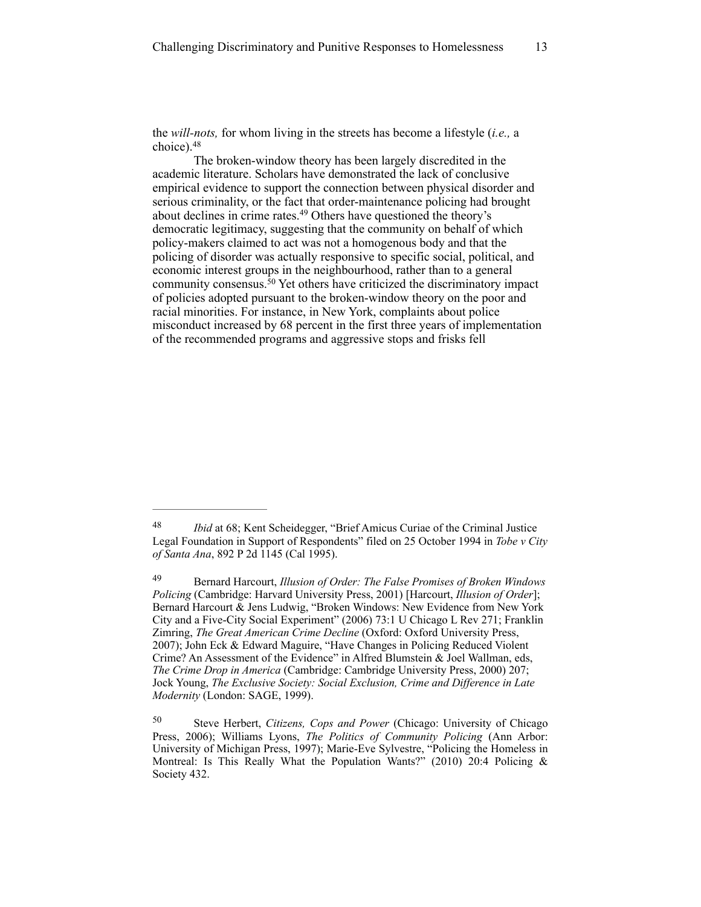the *will-nots,* for whom living in the streets has become a lifestyle (*i.e.,* a choice).48

The broken-window theory has been largely discredited in the academic literature. Scholars have demonstrated the lack of conclusive empirical evidence to support the connection between physical disorder and serious criminality, or the fact that order-maintenance policing had brought about declines in crime rates.<sup>49</sup> Others have questioned the theory's democratic legitimacy, suggesting that the community on behalf of which policy-makers claimed to act was not a homogenous body and that the policing of disorder was actually responsive to specific social, political, and economic interest groups in the neighbourhood, rather than to a general community consensus.<sup>50</sup> Yet others have criticized the discriminatory impact of policies adopted pursuant to the broken-window theory on the poor and racial minorities. For instance, in New York, complaints about police misconduct increased by 68 percent in the first three years of implementation of the recommended programs and aggressive stops and frisks fell

<sup>&</sup>lt;sup>48</sup> *Ibid* at 68; Kent Scheidegger, "Brief Amicus Curiae of the Criminal Justice Legal Foundation in Support of Respondents" filed on 25 October 1994 in *Tobe v City of Santa Ana*, 892 P 2d 1145 (Cal 1995).

Bernard Harcourt, *Illusion of Order: The False Promises of Broken Windows* <sup>49</sup> *Policing* (Cambridge: Harvard University Press, 2001) [Harcourt, *Illusion of Order*]; Bernard Harcourt & Jens Ludwig, "Broken Windows: New Evidence from New York City and a Five-City Social Experiment" (2006) 73:1 U Chicago L Rev 271; Franklin Zimring, *The Great American Crime Decline* (Oxford: Oxford University Press, 2007); John Eck & Edward Maguire, "Have Changes in Policing Reduced Violent Crime? An Assessment of the Evidence" in Alfred Blumstein & Joel Wallman, eds, *The Crime Drop in America* (Cambridge: Cambridge University Press, 2000) 207; Jock Young, *The Exclusive Society: Social Exclusion, Crime and Difference in Late Modernity* (London: SAGE, 1999).

Steve Herbert, *Citizens, Cops and Power* (Chicago: University of Chicago 50 Press, 2006); Williams Lyons, *The Politics of Community Policing* (Ann Arbor: University of Michigan Press, 1997); Marie-Eve Sylvestre, "Policing the Homeless in Montreal: Is This Really What the Population Wants?" (2010) 20:4 Policing & Society 432.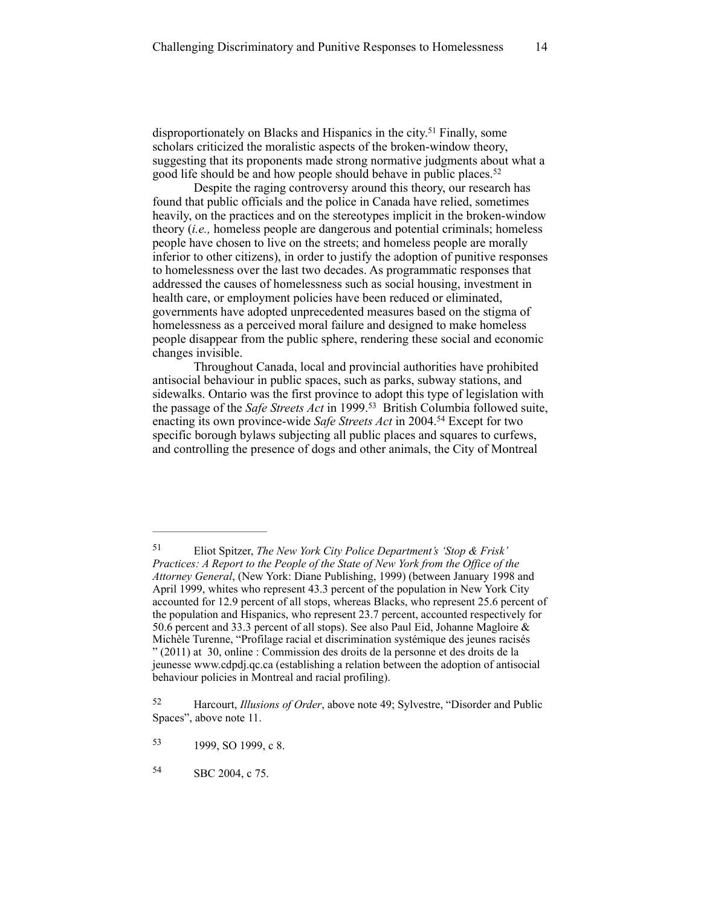disproportionately on Blacks and Hispanics in the city.<sup>51</sup> Finally, some scholars criticized the moralistic aspects of the broken-window theory, suggesting that its proponents made strong normative judgments about what a good life should be and how people should behave in public places.<sup>52</sup>

Despite the raging controversy around this theory, our research has found that public officials and the police in Canada have relied, sometimes heavily, on the practices and on the stereotypes implicit in the broken-window theory (*i.e.,* homeless people are dangerous and potential criminals; homeless people have chosen to live on the streets; and homeless people are morally inferior to other citizens), in order to justify the adoption of punitive responses to homelessness over the last two decades. As programmatic responses that addressed the causes of homelessness such as social housing, investment in health care, or employment policies have been reduced or eliminated, governments have adopted unprecedented measures based on the stigma of homelessness as a perceived moral failure and designed to make homeless people disappear from the public sphere, rendering these social and economic changes invisible.

Throughout Canada, local and provincial authorities have prohibited antisocial behaviour in public spaces, such as parks, subway stations, and sidewalks. Ontario was the first province to adopt this type of legislation with the passage of the *Safe Streets Act* in 1999.<sup>53</sup> British Columbia followed suite, enacting its own province-wide *Safe Streets Act* in 2004.<sup>54</sup> Except for two specific borough bylaws subjecting all public places and squares to curfews, and controlling the presence of dogs and other animals, the City of Montreal

Eliot Spitzer, *The New York City Police Department's 'Stop & Frisk'* <sup>51</sup> *Practices: A Report to the People of the State of New York from the Office of the Attorney General*, (New York: Diane Publishing, 1999) (between January 1998 and April 1999, whites who represent 43.3 percent of the population in New York City accounted for 12.9 percent of all stops, whereas Blacks, who represent 25.6 percent of the population and Hispanics, who represent 23.7 percent, accounted respectively for 50.6 percent and 33.3 percent of all stops). See also Paul Eid, Johanne Magloire & Michèle Turenne, "Profilage racial et discrimination systémique des jeunes racisés " (2011) at 30, online : Commission des droits de la personne et des droits de la jeunesse [www.cdpdj.qc.ca](http://www.cdpdj.qc.ca) (establishing a relation between the adoption of antisocial behaviour policies in Montreal and racial profiling).

Harcourt, *Illusions of Order*, above note 49; Sylvestre, "Disorder and Public 52 Spaces", above note 11.

<sup>53 1999,</sup> SO 1999, c 8.

<sup>54</sup> SBC 2004, c 75.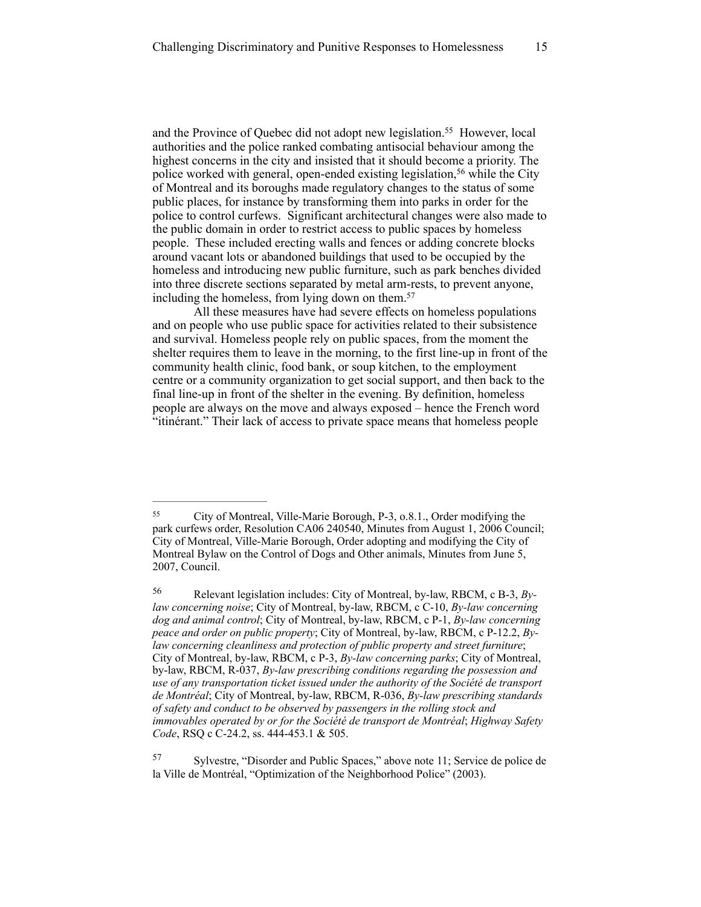and the Province of Quebec did not adopt new legislation.<sup>55</sup> However, local authorities and the police ranked combating antisocial behaviour among the highest concerns in the city and insisted that it should become a priority. The police worked with general, open-ended existing legislation,<sup>56</sup> while the City of Montreal and its boroughs made regulatory changes to the status of some public places, for instance by transforming them into parks in order for the police to control curfews. Significant architectural changes were also made to the public domain in order to restrict access to public spaces by homeless people. These included erecting walls and fences or adding concrete blocks around vacant lots or abandoned buildings that used to be occupied by the homeless and introducing new public furniture, such as park benches divided into three discrete sections separated by metal arm-rests, to prevent anyone, including the homeless, from lying down on them.<sup>57</sup>

All these measures have had severe effects on homeless populations and on people who use public space for activities related to their subsistence and survival. Homeless people rely on public spaces, from the moment the shelter requires them to leave in the morning, to the first line-up in front of the community health clinic, food bank, or soup kitchen, to the employment centre or a community organization to get social support, and then back to the final line-up in front of the shelter in the evening. By definition, homeless people are always on the move and always exposed – hence the French word "itinérant." Their lack of access to private space means that homeless people

City of Montreal, Ville-Marie Borough, P-3, o.8.1., Order modifying the 55 park curfews order, Resolution CA06 240540, Minutes from August 1, 2006 Council; City of Montreal, Ville-Marie Borough, Order adopting and modifying the City of Montreal Bylaw on the Control of Dogs and Other animals, Minutes from June 5, 2007, Council.

Relevant legislation includes: City of Montreal, by-law, RBCM, c B-3, *By-* <sup>56</sup> *law concerning noise*; City of Montreal, by-law, RBCM, c C-10, *By-law concerning dog and animal control*; City of Montreal, by-law, RBCM, c P-1, *By-law concerning peace and order on public property*; City of Montreal, by-law, RBCM, c P-12.2, *Bylaw concerning cleanliness and protection of public property and street furniture*; City of Montreal, by-law, RBCM, c P-3, *By-law concerning parks*; City of Montreal, by-law, RBCM, R-037, *By-law prescribing conditions regarding the possession and use of any transportation ticket issued under the authority of the Société de transport de Montréal*; City of Montreal, by-law, RBCM, R-036, *By-law prescribing standards of safety and conduct to be observed by passengers in the rolling stock and immovables operated by or for the Société de transport de Montréal*; *Highway Safety Code*, RSQ c C-24.2, ss. 444-453.1 & 505.

<sup>&</sup>lt;sup>57</sup> Sylvestre, "Disorder and Public Spaces," above note 11; Service de police de la Ville de Montréal, "Optimization of the Neighborhood Police" (2003).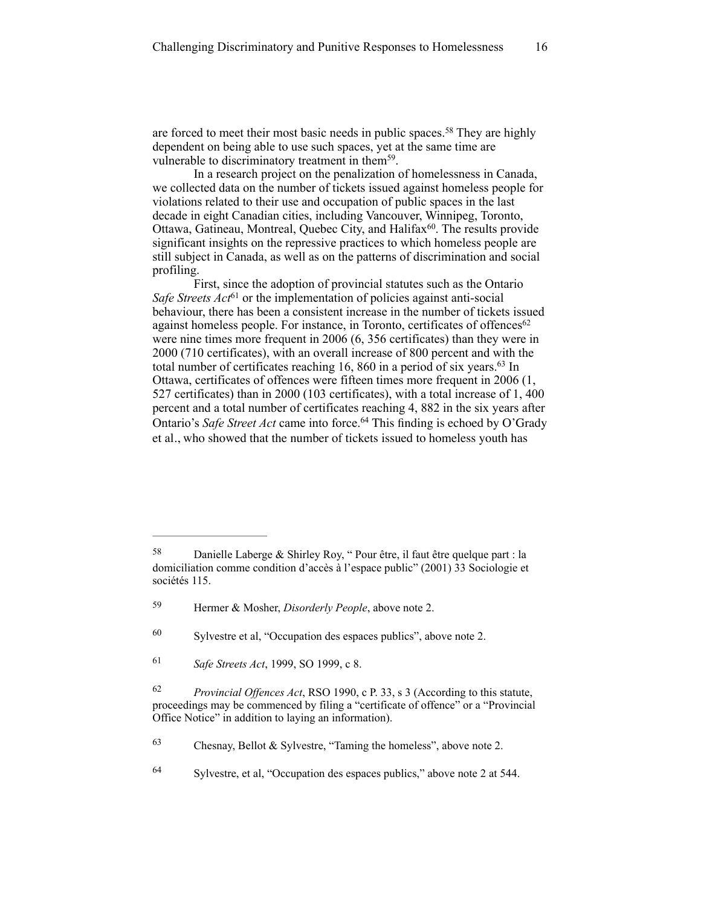are forced to meet their most basic needs in public spaces.<sup>58</sup> They are highly dependent on being able to use such spaces, yet at the same time are vulnerable to discriminatory treatment in them<sup>59</sup>.

In a research project on the penalization of homelessness in Canada, we collected data on the number of tickets issued against homeless people for violations related to their use and occupation of public spaces in the last decade in eight Canadian cities, including Vancouver, Winnipeg, Toronto, Ottawa, Gatineau, Montreal, Quebec City, and Halifax<sup>60</sup>. The results provide significant insights on the repressive practices to which homeless people are still subject in Canada, as well as on the patterns of discrimination and social profiling.

First, since the adoption of provincial statutes such as the Ontario *Safe Streets Act*<sup>61</sup> or the implementation of policies against anti-social behaviour, there has been a consistent increase in the number of tickets issued against homeless people. For instance, in Toronto, certificates of offences<sup>62</sup> were nine times more frequent in 2006 (6, 356 certificates) than they were in 2000 (710 certificates), with an overall increase of 800 percent and with the total number of certificates reaching  $16, 860$  in a period of six years. <sup>63</sup> In Ottawa, certificates of offences were fifteen times more frequent in 2006 (1, 527 certificates) than in 2000 (103 certificates), with a total increase of 1, 400 percent and a total number of certificates reaching 4, 882 in the six years after Ontario's *Safe Street Act* came into force.<sup>64</sup> This finding is echoed by O'Grady et al., who showed that the number of tickets issued to homeless youth has

<sup>&</sup>lt;sup>58</sup> Danielle Laberge & Shirley Roy, " Pour être, il faut être quelque part : la domiciliation comme condition d'accès à l'espace public" (2001) 33 Sociologie et sociétés 115.

Hermer & Mosher, *Disorderly People*, above note 2. <sup>59</sup>

 $60$  Sylvestre et al, "Occupation des espaces publics", above note 2.

*Safe Streets Act*, 1999, SO 1999, c 8.

*Provincial Offences Act*, RSO 1990, c P. 33, s 3 (According to this statute, 62 proceedings may be commenced by filing a "certificate of offence" or a "Provincial Office Notice" in addition to laying an information).

 $63$  Chesnay, Bellot & Sylvestre, "Taming the homeless", above note 2.

<sup>&</sup>lt;sup>64</sup> Sylvestre, et al, "Occupation des espaces publics," above note 2 at 544.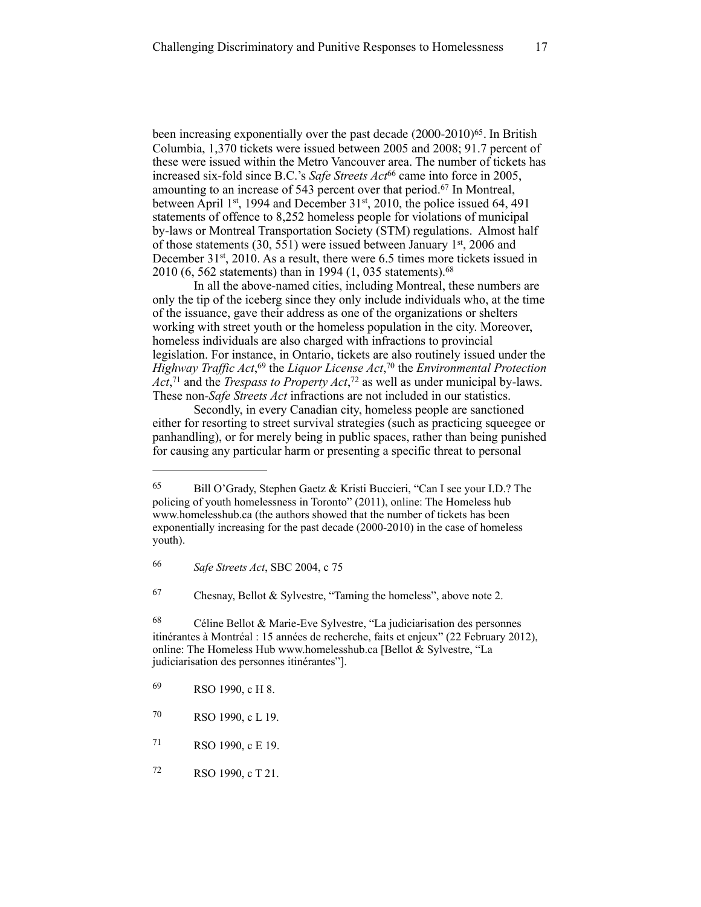been increasing exponentially over the past decade  $(2000-2010)^{65}$ . In British Columbia, 1,370 tickets were issued between 2005 and 2008; 91.7 percent of these were issued within the Metro Vancouver area. The number of tickets has increased six-fold since B.C.'s *Safe Streets Act*<sup>66</sup> came into force in 2005, amounting to an increase of 543 percent over that period.<sup>67</sup> In Montreal, between April 1<sup>st</sup>, 1994 and December 31<sup>st</sup>, 2010, the police issued 64, 491 statements of offence to 8,252 homeless people for violations of municipal by-laws or Montreal Transportation Society (STM) regulations. Almost half of those statements (30, 551) were issued between January  $1<sup>st</sup>$ , 2006 and December 31<sup>st</sup>, 2010. As a result, there were 6.5 times more tickets issued in 2010 (6, 562 statements) than in 1994 (1, 035 statements). 68

In all the above-named cities, including Montreal, these numbers are only the tip of the iceberg since they only include individuals who, at the time of the issuance, gave their address as one of the organizations or shelters working with street youth or the homeless population in the city. Moreover, homeless individuals are also charged with infractions to provincial legislation. For instance, in Ontario, tickets are also routinely issued under the *Highway Traffic Act*,<sup>69</sup> the *Liquor License Act*,<sup>70</sup> the *Environmental Protection Act*,<sup>71</sup> and the *Trespass to Property Act*,<sup>72</sup> as well as under municipal by-laws. These non-*Safe Streets Act* infractions are not included in our statistics.

Secondly, in every Canadian city, homeless people are sanctioned either for resorting to street survival strategies (such as practicing squeegee or panhandling), or for merely being in public spaces, rather than being punished for causing any particular harm or presenting a specific threat to personal

 $67$  Chesnay, Bellot & Sylvestre, "Taming the homeless", above note 2.

 $^{68}$  Céline Bellot & Marie-Eve Sylvestre, "La judiciarisation des personnes itinérantes à Montréal : 15 années de recherche, faits et enjeux" (22 February 2012), online: The Homeless Hub [www.homelesshub.ca](http://www.homelesshub.ca) [Bellot & Sylvestre, "La judiciarisation des personnes itinérantes"].

<sup>65</sup> Bill O'Grady, Stephen Gaetz & Kristi Buccieri, "Can I see your I.D.? The policing of youth homelessness in Toronto" (2011), online: The Homeless hub [www.homelesshub.ca](http://www.homelesshub.ca) (the authors showed that the number of tickets has been exponentially increasing for the past decade (2000-2010) in the case of homeless youth).

*Safe Streets Act*, SBC 2004, c 75 <sup>66</sup>

<sup>69</sup> RSO 1990, c H 8.

<sup>70</sup> RSO 1990, c L 19.

RSO 1990, c E 19. <sup>71</sup>

<sup>72</sup> RSO 1990, c T 21.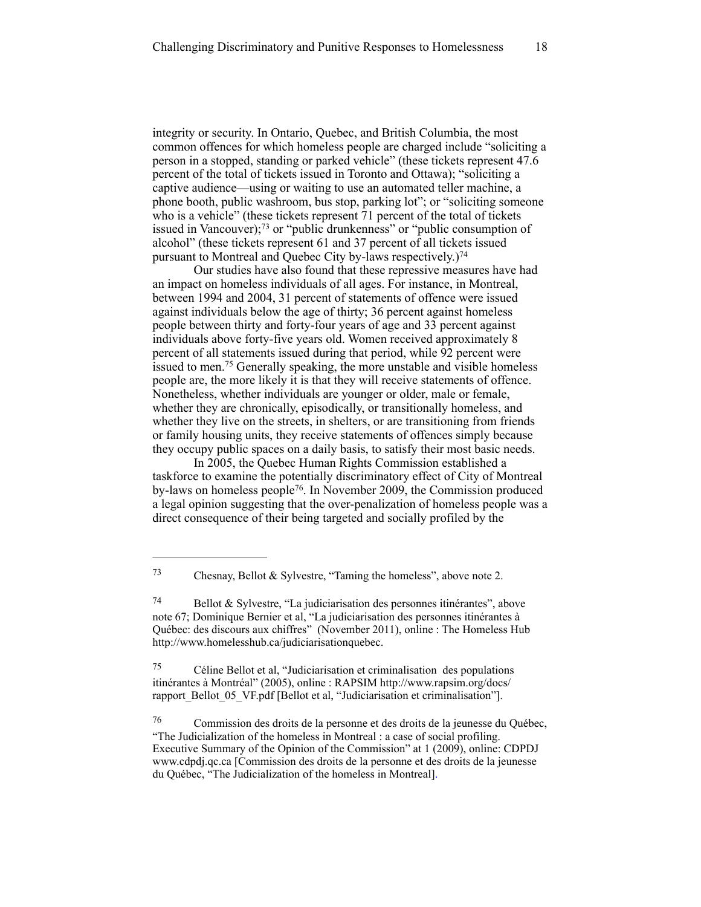integrity or security. In Ontario, Quebec, and British Columbia, the most common offences for which homeless people are charged include "soliciting a person in a stopped, standing or parked vehicle" (these tickets represent 47.6 percent of the total of tickets issued in Toronto and Ottawa); "soliciting a captive audience—using or waiting to use an automated teller machine, a phone booth, public washroom, bus stop, parking lot"; or "soliciting someone who is a vehicle" (these tickets represent 71 percent of the total of tickets issued in Vancouver);<sup>73</sup> or "public drunkenness" or "public consumption of alcohol" (these tickets represent 61 and 37 percent of all tickets issued pursuant to Montreal and Quebec City by-laws respectively.)74

Our studies have also found that these repressive measures have had an impact on homeless individuals of all ages. For instance, in Montreal, between 1994 and 2004, 31 percent of statements of offence were issued against individuals below the age of thirty; 36 percent against homeless people between thirty and forty-four years of age and 33 percent against individuals above forty-five years old. Women received approximately 8 percent of all statements issued during that period, while 92 percent were issued to men.<sup>75</sup> Generally speaking, the more unstable and visible homeless people are, the more likely it is that they will receive statements of offence. Nonetheless, whether individuals are younger or older, male or female, whether they are chronically, episodically, or transitionally homeless, and whether they live on the streets, in shelters, or are transitioning from friends or family housing units, they receive statements of offences simply because they occupy public spaces on a daily basis, to satisfy their most basic needs.

In 2005, the Quebec Human Rights Commission established a taskforce to examine the potentially discriminatory effect of City of Montreal by-laws on homeless people<sup>76</sup>. In November 2009, the Commission produced a legal opinion suggesting that the over-penalization of homeless people was a direct consequence of their being targeted and socially profiled by the

 $^{75}$  Céline Bellot et al, "Judiciarisation et criminalisation des populations itinérantes à Montréal" (2005), online : RAPSIM http://www.rapsim.org/docs/ [rapport\\_Bellot\\_05\\_VF.pdf \[Bellot et al, "Judiciarisation et criminalisation"\].](http://www.rapsim.org/docs/rapport_Bellot_05_VF.pdf)

 Commission des droits de la personne et des droits de la jeunesse du Québec, 76 "The Judicialization of the homeless in Montreal : a case of social profiling. Executive Summary of the Opinion of the Commission" at 1 (2009), online: CDPDJ [www.cdpdj.qc.ca](http://www.cdpdj.qc.ca) [Commission des droits de la personne et des droits de la jeunesse du Québec, "The Judicialization of the homeless in Montreal].

<sup>&</sup>lt;sup>73</sup> Chesnay, Bellot & Sylvestre, "Taming the homeless", above note 2.

 $^{74}$  Bellot & Sylvestre, "La judiciarisation des personnes itinérantes", above note 67; Dominique Bernier et al, "La judiciarisation des personnes itinérantes à Québec: des discours aux chiffres" (November 2011), online : The Homeless Hub [http://www.homelesshub.ca/judiciarisationquebec.](http://www.homelesshub.ca/judiciarisationquebec)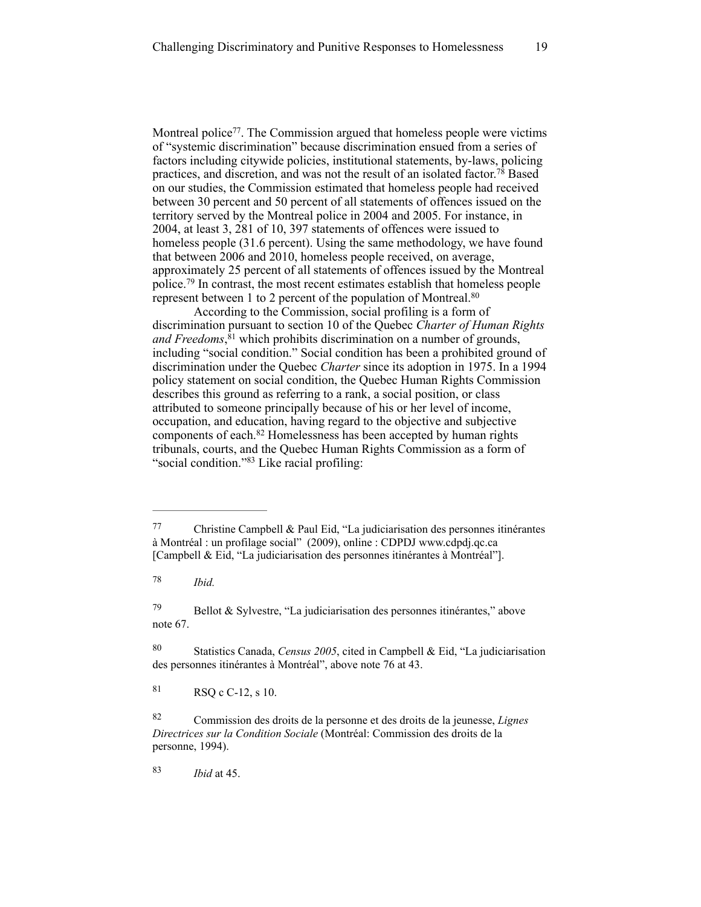Montreal police<sup>77</sup>. The Commission argued that homeless people were victims of "systemic discrimination" because discrimination ensued from a series of factors including citywide policies, institutional statements, by-laws, policing practices, and discretion, and was not the result of an isolated factor.<sup>78</sup> Based on our studies, the Commission estimated that homeless people had received between 30 percent and 50 percent of all statements of offences issued on the territory served by the Montreal police in 2004 and 2005. For instance, in 2004, at least 3, 281 of 10, 397 statements of offences were issued to homeless people (31.6 percent). Using the same methodology, we have found that between 2006 and 2010, homeless people received, on average, approximately 25 percent of all statements of offences issued by the Montreal police.<sup>79</sup> In contrast, the most recent estimates establish that homeless people represent between 1 to 2 percent of the population of Montreal. 80

According to the Commission, social profiling is a form of discrimination pursuant to section 10 of the Quebec *Charter of Human Rights*  and Freedoms,<sup>81</sup> which prohibits discrimination on a number of grounds, including "social condition." Social condition has been a prohibited ground of discrimination under the Quebec *Charter* since its adoption in 1975. In a 1994 policy statement on social condition, the Quebec Human Rights Commission describes this ground as referring to a rank, a social position, or class attributed to someone principally because of his or her level of income, occupation, and education, having regard to the objective and subjective components of each.<sup>82</sup> Homelessness has been accepted by human rights tribunals, courts, and the Quebec Human Rights Commission as a form of "social condition."83 Like racial profiling:

*Ibid.* <sup>78</sup>

 Bellot & Sylvestre, "La judiciarisation des personnes itinérantes," above 79 note 67.

 Statistics Canada, *Census 2005*, cited in Campbell & Eid, "La judiciarisation 80 des personnes itinérantes à Montréal", above note 76 at 43.

 $81$  RSO c C-12, s 10.

*Ibid* at 45. <sup>83</sup>

 $^{77}$  Christine Campbell & Paul Eid, "La judiciarisation des personnes itinérantes à Montréal : un profilage social" (2009), online : CDPDJ www.cdpdj.qc.ca [Campbell & Eid, "La judiciarisation des personnes itinérantes à Montréal"].

Commission des droits de la personne et des droits de la jeunesse, *Lignes* <sup>82</sup> *Directrices sur la Condition Sociale* (Montréal: Commission des droits de la personne, 1994).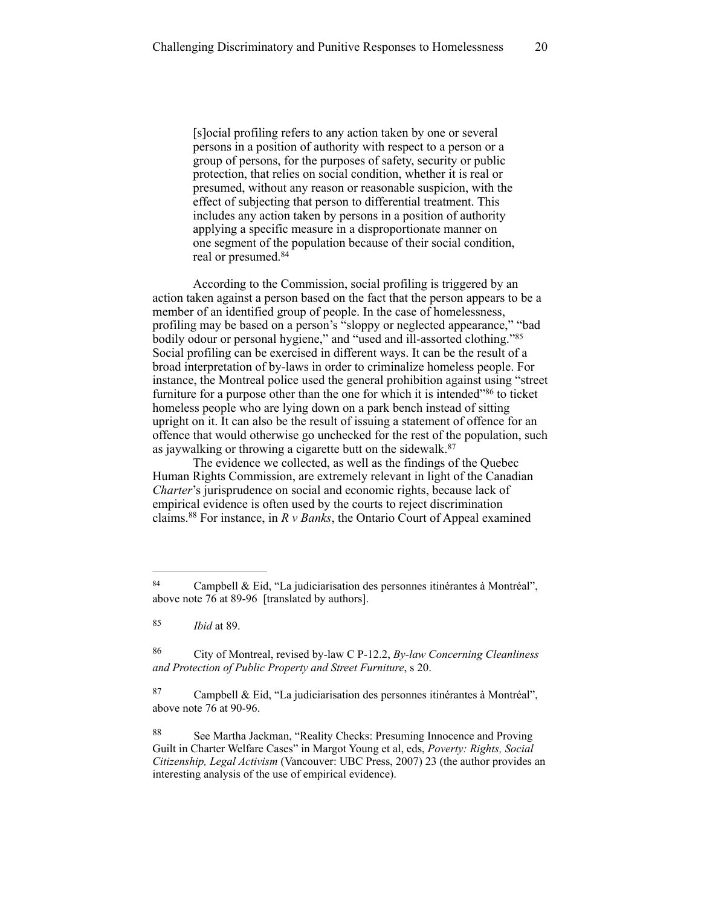[s]ocial profiling refers to any action taken by one or several persons in a position of authority with respect to a person or a group of persons, for the purposes of safety, security or public protection, that relies on social condition, whether it is real or presumed, without any reason or reasonable suspicion, with the effect of subjecting that person to differential treatment. This includes any action taken by persons in a position of authority applying a specific measure in a disproportionate manner on one segment of the population because of their social condition, real or presumed. 84

According to the Commission, social profiling is triggered by an action taken against a person based on the fact that the person appears to be a member of an identified group of people. In the case of homelessness, profiling may be based on a person's "sloppy or neglected appearance," "bad bodily odour or personal hygiene," and "used and ill-assorted clothing."85 Social profiling can be exercised in different ways. It can be the result of a broad interpretation of by-laws in order to criminalize homeless people. For instance, the Montreal police used the general prohibition against using "street furniture for a purpose other than the one for which it is intended<sup> $36$ </sup> to ticket homeless people who are lying down on a park bench instead of sitting upright on it. It can also be the result of issuing a statement of offence for an offence that would otherwise go unchecked for the rest of the population, such as jaywalking or throwing a cigarette butt on the sidewalk. 87

The evidence we collected, as well as the findings of the Quebec Human Rights Commission, are extremely relevant in light of the Canadian *Charter*'s jurisprudence on social and economic rights, because lack of empirical evidence is often used by the courts to reject discrimination claims.  $88$  For instance, in *R v Banks*, the Ontario Court of Appeal examined

Campbell & Eid, "La judiciarisation des personnes itinérantes à Montréal", 84 above note 76 at 89-96 [translated by authors].

<sup>85</sup> *Ibid* at 89.

City of Montreal, revised by-law C P-12.2, *By-law Concerning Cleanliness* <sup>86</sup> *and Protection of Public Property and Street Furniture*, s 20.

 $87$  Campbell & Eid, "La judiciarisation des personnes itinérantes à Montréal", above note 76 at 90-96.

<sup>88</sup> See Martha Jackman, "Reality Checks: Presuming Innocence and Proving Guilt in Charter Welfare Cases" in Margot Young et al, eds, *Poverty: Rights, Social Citizenship, Legal Activism* (Vancouver: UBC Press, 2007) 23 (the author provides an interesting analysis of the use of empirical evidence).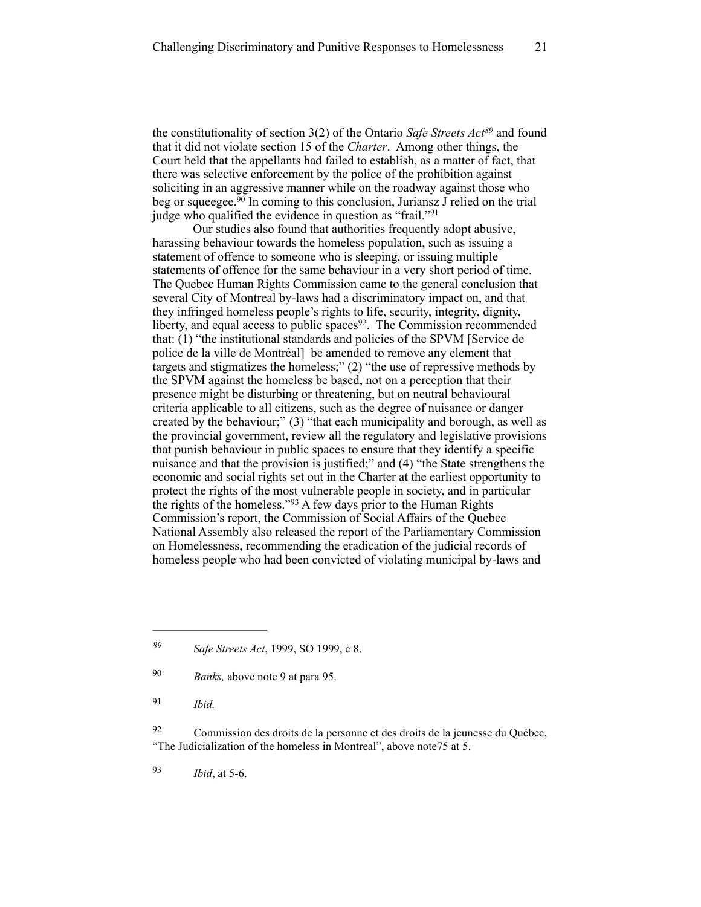the constitutionality of section 3(2) of the Ontario *Safe Streets Act*<sup>89</sup> and found that it did not violate section 15 of the *Charter*. Among other things, the Court held that the appellants had failed to establish, as a matter of fact, that there was selective enforcement by the police of the prohibition against soliciting in an aggressive manner while on the roadway against those who beg or squeegee.<sup> $\overline{90}$ </sup> In coming to this conclusion, Juriansz J relied on the trial judge who qualified the evidence in question as "frail."91

Our studies also found that authorities frequently adopt abusive, harassing behaviour towards the homeless population, such as issuing a statement of offence to someone who is sleeping, or issuing multiple statements of offence for the same behaviour in a very short period of time. The Quebec Human Rights Commission came to the general conclusion that several City of Montreal by-laws had a discriminatory impact on, and that they infringed homeless people's rights to life, security, integrity, dignity, liberty, and equal access to public spaces<sup>92</sup>. The Commission recommended that: (1) "the institutional standards and policies of the SPVM [Service de police de la ville de Montréal] be amended to remove any element that targets and stigmatizes the homeless;" (2) "the use of repressive methods by the SPVM against the homeless be based, not on a perception that their presence might be disturbing or threatening, but on neutral behavioural criteria applicable to all citizens, such as the degree of nuisance or danger created by the behaviour;" (3) "that each municipality and borough, as well as the provincial government, review all the regulatory and legislative provisions that punish behaviour in public spaces to ensure that they identify a specific nuisance and that the provision is justified;" and (4) "the State strengthens the economic and social rights set out in the Charter at the earliest opportunity to protect the rights of the most vulnerable people in society, and in particular the rights of the homeless."<sup>93</sup> A few days prior to the Human Rights Commission's report, the Commission of Social Affairs of the Quebec National Assembly also released the report of the Parliamentary Commission on Homelessness, recommending the eradication of the judicial records of homeless people who had been convicted of violating municipal by-laws and

*Ibid.* <sup>91</sup>

 Commission des droits de la personne et des droits de la jeunesse du Québec, 92 "The Judicialization of the homeless in Montreal", above note75 at 5.

*Ibid*, at 5-6. <sup>93</sup>

*Safe Streets Act*, 1999, SO 1999, c 8. *<sup>89</sup>*

<sup>&</sup>lt;sup>90</sup> *Banks*, above note 9 at para 95.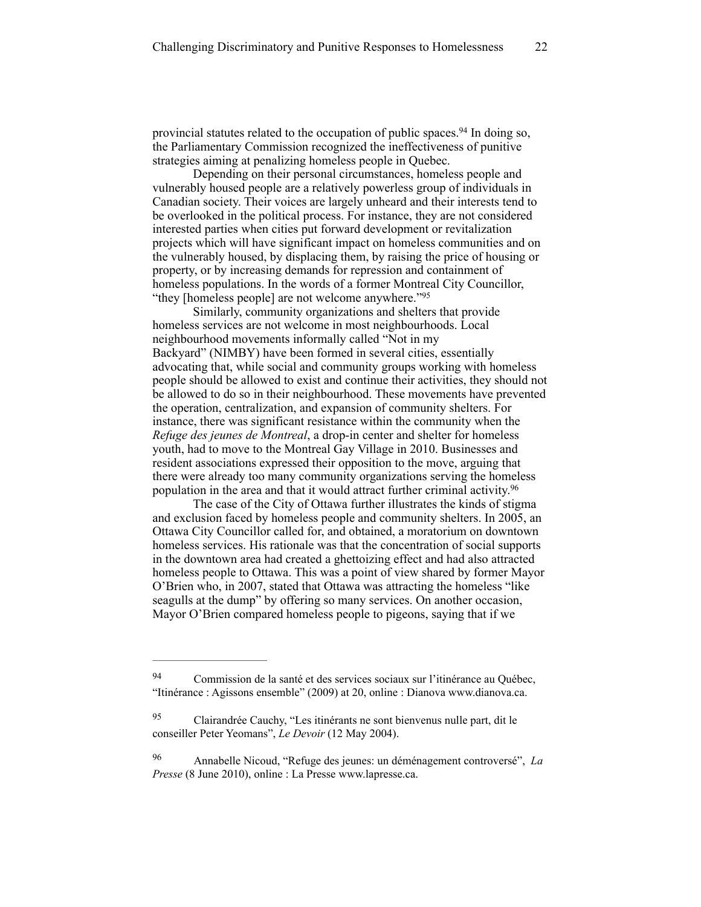provincial statutes related to the occupation of public spaces.<sup>94</sup> In doing so, the Parliamentary Commission recognized the ineffectiveness of punitive strategies aiming at penalizing homeless people in Quebec.

Depending on their personal circumstances, homeless people and vulnerably housed people are a relatively powerless group of individuals in Canadian society. Their voices are largely unheard and their interests tend to be overlooked in the political process. For instance, they are not considered interested parties when cities put forward development or revitalization projects which will have significant impact on homeless communities and on the vulnerably housed, by displacing them, by raising the price of housing or property, or by increasing demands for repression and containment of homeless populations. In the words of a former Montreal City Councillor, "they [homeless people] are not welcome anywhere."<sup>95</sup>

Similarly, community organizations and shelters that provide homeless services are not welcome in most neighbourhoods. Local neighbourhood movements informally called "Not in my Backyard" (NIMBY) have been formed in several cities, essentially advocating that, while social and community groups working with homeless people should be allowed to exist and continue their activities, they should not be allowed to do so in their neighbourhood. These movements have prevented the operation, centralization, and expansion of community shelters. For instance, there was significant resistance within the community when the *Refuge des jeunes de Montreal*, a drop-in center and shelter for homeless youth, had to move to the Montreal Gay Village in 2010. Businesses and resident associations expressed their opposition to the move, arguing that there were already too many community organizations serving the homeless population in the area and that it would attract further criminal activity. 96

The case of the City of Ottawa further illustrates the kinds of stigma and exclusion faced by homeless people and community shelters. In 2005, an Ottawa City Councillor called for, and obtained, a moratorium on downtown homeless services. His rationale was that the concentration of social supports in the downtown area had created a ghettoizing effect and had also attracted homeless people to Ottawa. This was a point of view shared by former Mayor O'Brien who, in 2007, stated that Ottawa was attracting the homeless "like seagulls at the dump" by offering so many services. On another occasion, Mayor O'Brien compared homeless people to pigeons, saying that if we

Commission de la santé et des services sociaux sur l'itinérance au Québec, 94 "Itinérance : Agissons ensemble" (2009) at 20, online : Dianova www.dianova.ca.

<sup>&</sup>lt;sup>95</sup> Clairandrée Cauchy, "Les itinérants ne sont bienvenus nulle part, dit le conseiller Peter Yeomans", *Le Devoir* (12 May 2004).

Annabelle Nicoud, "Refuge des jeunes: un déménagement controversé", *La* <sup>96</sup> *Presse* (8 June 2010), online : La Presse [www.lapresse.ca.](http://www.lapresse.ca)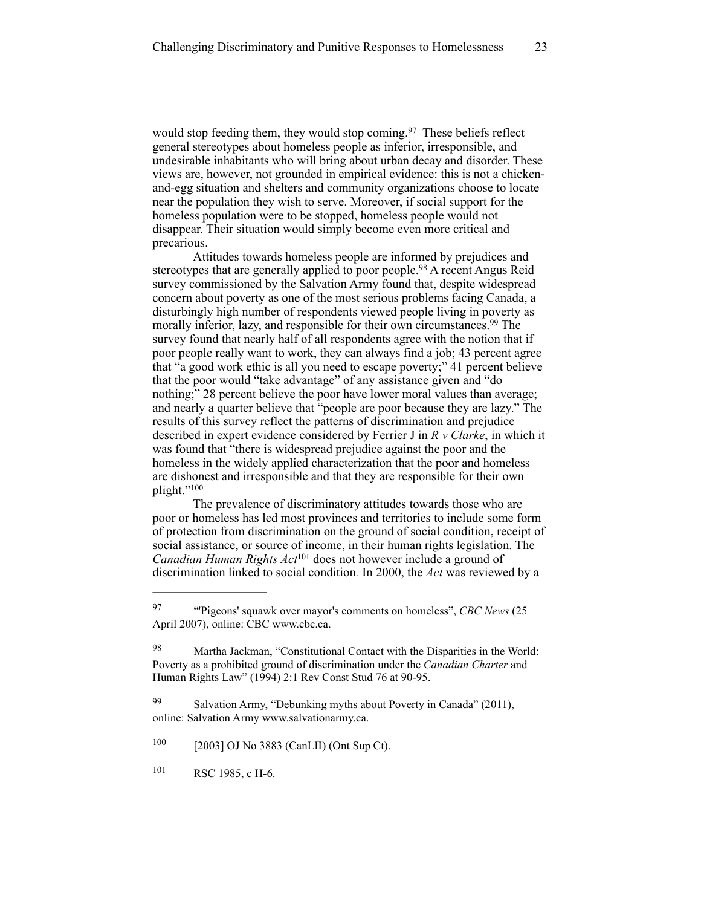would stop feeding them, they would stop coming.<sup>97</sup> These beliefs reflect general stereotypes about homeless people as inferior, irresponsible, and undesirable inhabitants who will bring about urban decay and disorder. These views are, however, not grounded in empirical evidence: this is not a chickenand-egg situation and shelters and community organizations choose to locate near the population they wish to serve. Moreover, if social support for the homeless population were to be stopped, homeless people would not disappear. Their situation would simply become even more critical and precarious.

Attitudes towards homeless people are informed by prejudices and stereotypes that are generally applied to poor people.<sup>98</sup> A recent Angus Reid survey commissioned by the Salvation Army found that, despite widespread concern about poverty as one of the most serious problems facing Canada, a disturbingly high number of respondents viewed people living in poverty as morally inferior, lazy, and responsible for their own circumstances.<sup>99</sup> The survey found that nearly half of all respondents agree with the notion that if poor people really want to work, they can always find a job; 43 percent agree that "a good work ethic is all you need to escape poverty;" 41 percent believe that the poor would "take advantage" of any assistance given and "do nothing;" 28 percent believe the poor have lower moral values than average; and nearly a quarter believe that "people are poor because they are lazy." The results of this survey reflect the patterns of discrimination and prejudice described in expert evidence considered by Ferrier J in *R v Clarke*, in which it was found that "there is widespread prejudice against the poor and the homeless in the widely applied characterization that the poor and homeless are dishonest and irresponsible and that they are responsible for their own plight."100

The prevalence of discriminatory attitudes towards those who are poor or homeless has led most provinces and territories to include some form of protection from discrimination on the ground of social condition, receipt of social assistance, or source of income, in their human rights legislation. The *Canadian Human Rights Act*<sup>101</sup> does not however include a ground of discrimination linked to social condition*.* In 2000, the *Act* was reviewed by a

 $[2003]$  OJ No 3883 (CanLII) (Ont Sup Ct).

101 RSC 1985, c H-6.

<sup>&</sup>lt;sup>97</sup> "Pigeons' squawk over mayor's comments on homeless", *CBC News* (25 April 2007), online: CBC [www.cbc.ca.](http://www.cbc.ca)

<sup>98</sup> Martha Jackman, "Constitutional Contact with the Disparities in the World: Poverty as a prohibited ground of discrimination under the *Canadian Charter* and Human Rights Law" (1994) 2:1 Rev Const Stud 76 at 90-95.

 $99$  Salvation Army, "Debunking myths about Poverty in Canada" (2011), online: Salvation Army [www.salvationarmy.ca.](http://www.salvationarmy.ca/wp-content/uploads/2012/01/theDiginityProject_report_Mar2011_rgb.pdf)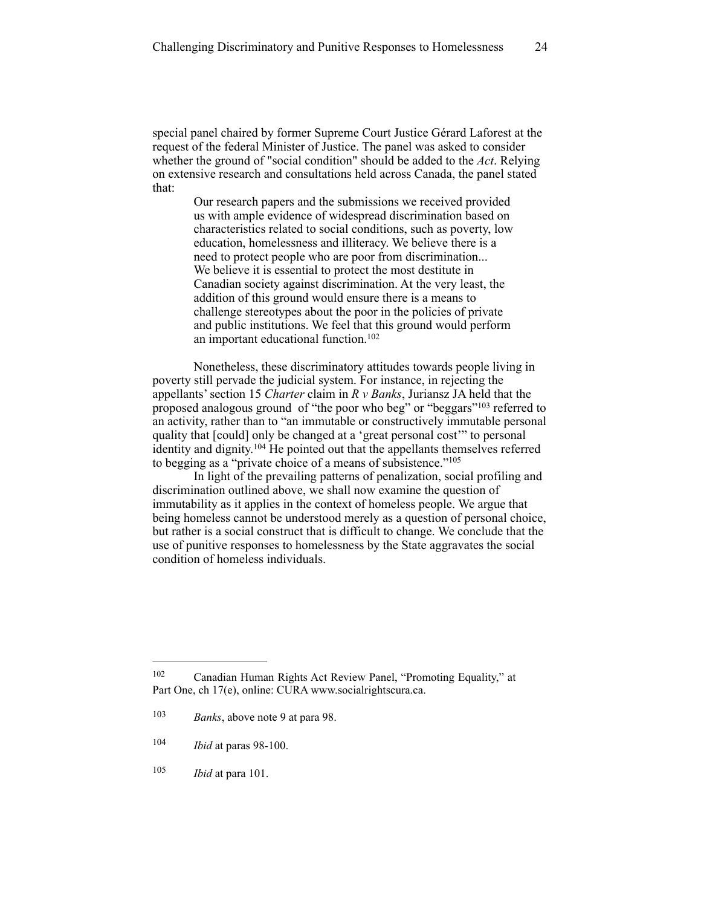special panel chaired by former Supreme Court Justice Gérard Laforest at the request of the federal Minister of Justice. The panel was asked to consider whether the ground of "social condition" should be added to the *Act*. Relying on extensive research and consultations held across Canada, the panel stated that:

> Our research papers and the submissions we received provided us with ample evidence of widespread discrimination based on characteristics related to social conditions, such as poverty, low education, homelessness and illiteracy. We believe there is a need to protect people who are poor from discrimination... We believe it is essential to protect the most destitute in Canadian society against discrimination. At the very least, the addition of this ground would ensure there is a means to challenge stereotypes about the poor in the policies of private and public institutions. We feel that this ground would perform an important educational function.<sup>102</sup>

Nonetheless, these discriminatory attitudes towards people living in poverty still pervade the judicial system. For instance, in rejecting the appellants' section 15 *Charter* claim in *R v Banks*, Juriansz JA held that the proposed analogous ground of "the poor who beg" or "beggars"<sup>103</sup> referred to an activity, rather than to "an immutable or constructively immutable personal quality that [could] only be changed at a 'great personal cost'" to personal identity and dignity.  $104$  He pointed out that the appellants themselves referred to begging as a "private choice of a means of subsistence."105

In light of the prevailing patterns of penalization, social profiling and discrimination outlined above, we shall now examine the question of immutability as it applies in the context of homeless people. We argue that being homeless cannot be understood merely as a question of personal choice, but rather is a social construct that is difficult to change. We conclude that the use of punitive responses to homelessness by the State aggravates the social condition of homeless individuals.

 $105$  *Ibid* at para 101.

<sup>&</sup>lt;sup>102</sup> Canadian Human Rights Act Review Panel, "Promoting Equality," at Part One, ch 17(e), online: CURA www.socialrightscura.ca.

<sup>&</sup>lt;sup>103</sup> *Banks*, above note 9 at para 98.

 $104$  *Ibid* at paras 98-100.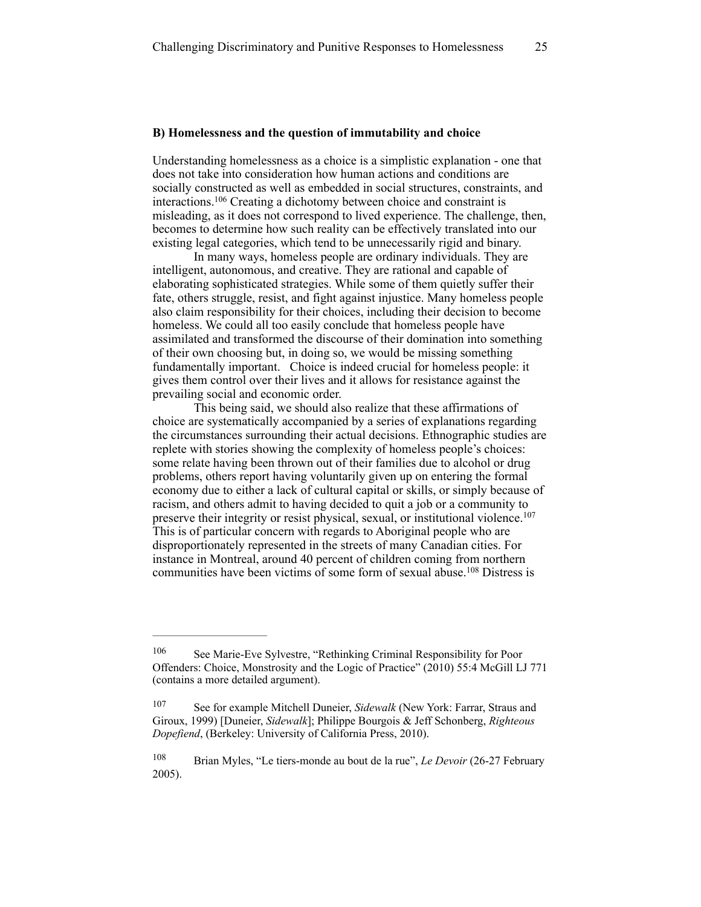#### **B) Homelessness and the question of immutability and choice**

Understanding homelessness as a choice is a simplistic explanation - one that does not take into consideration how human actions and conditions are socially constructed as well as embedded in social structures, constraints, and interactions.  $106$  Creating a dichotomy between choice and constraint is misleading, as it does not correspond to lived experience. The challenge, then, becomes to determine how such reality can be effectively translated into our existing legal categories, which tend to be unnecessarily rigid and binary.

In many ways, homeless people are ordinary individuals. They are intelligent, autonomous, and creative. They are rational and capable of elaborating sophisticated strategies. While some of them quietly suffer their fate, others struggle, resist, and fight against injustice. Many homeless people also claim responsibility for their choices, including their decision to become homeless. We could all too easily conclude that homeless people have assimilated and transformed the discourse of their domination into something of their own choosing but, in doing so, we would be missing something fundamentally important. Choice is indeed crucial for homeless people: it gives them control over their lives and it allows for resistance against the prevailing social and economic order.

This being said, we should also realize that these affirmations of choice are systematically accompanied by a series of explanations regarding the circumstances surrounding their actual decisions. Ethnographic studies are replete with stories showing the complexity of homeless people's choices: some relate having been thrown out of their families due to alcohol or drug problems, others report having voluntarily given up on entering the formal economy due to either a lack of cultural capital or skills, or simply because of racism, and others admit to having decided to quit a job or a community to preserve their integrity or resist physical, sexual, or institutional violence.<sup>107</sup> This is of particular concern with regards to Aboriginal people who are disproportionately represented in the streets of many Canadian cities. For instance in Montreal, around 40 percent of children coming from northern communities have been victims of some form of sexual abuse.<sup>108</sup> Distress is

<sup>106</sup> See Marie-Eve Sylvestre, "Rethinking Criminal Responsibility for Poor Offenders: Choice, Monstrosity and the Logic of Practice" (2010) 55:4 McGill LJ 771 (contains a more detailed argument).

<sup>&</sup>lt;sup>107</sup> See for example Mitchell Duneier, *Sidewalk* (New York: Farrar, Straus and Giroux, 1999) [Duneier, *Sidewalk*]; Philippe Bourgois & Jeff Schonberg, *Righteous Dopefiend*, (Berkeley: University of California Press, 2010).

<sup>&</sup>lt;sup>108</sup> Brian Myles, "Le tiers-monde au bout de la rue", *Le Devoir* (26-27 February 2005).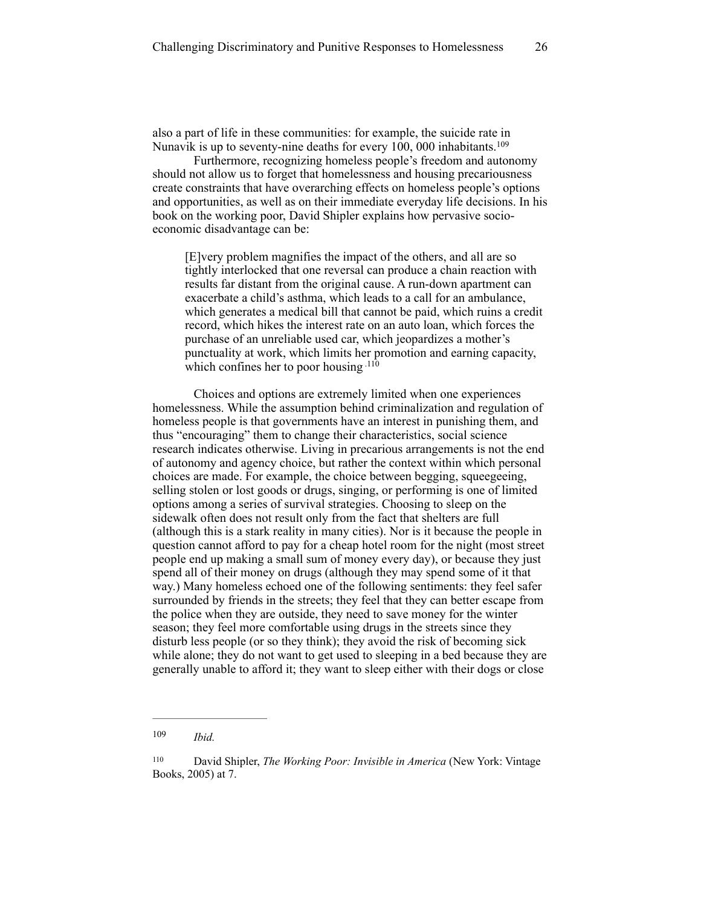also a part of life in these communities: for example, the suicide rate in Nunavik is up to seventy-nine deaths for every 100, 000 inhabitants.<sup>109</sup>

Furthermore, recognizing homeless people's freedom and autonomy should not allow us to forget that homelessness and housing precariousness create constraints that have overarching effects on homeless people's options and opportunities, as well as on their immediate everyday life decisions. In his book on the working poor, David Shipler explains how pervasive socioeconomic disadvantage can be:

[E]very problem magnifies the impact of the others, and all are so tightly interlocked that one reversal can produce a chain reaction with results far distant from the original cause. A run-down apartment can exacerbate a child's asthma, which leads to a call for an ambulance, which generates a medical bill that cannot be paid, which ruins a credit record, which hikes the interest rate on an auto loan, which forces the purchase of an unreliable used car, which jeopardizes a mother's punctuality at work, which limits her promotion and earning capacity, which confines her to poor housing .<sup>110</sup>

Choices and options are extremely limited when one experiences homelessness. While the assumption behind criminalization and regulation of homeless people is that governments have an interest in punishing them, and thus "encouraging" them to change their characteristics, social science research indicates otherwise. Living in precarious arrangements is not the end of autonomy and agency choice, but rather the context within which personal choices are made. For example, the choice between begging, squeegeeing, selling stolen or lost goods or drugs, singing, or performing is one of limited options among a series of survival strategies. Choosing to sleep on the sidewalk often does not result only from the fact that shelters are full (although this is a stark reality in many cities). Nor is it because the people in question cannot afford to pay for a cheap hotel room for the night (most street people end up making a small sum of money every day), or because they just spend all of their money on drugs (although they may spend some of it that way.) Many homeless echoed one of the following sentiments: they feel safer surrounded by friends in the streets; they feel that they can better escape from the police when they are outside, they need to save money for the winter season; they feel more comfortable using drugs in the streets since they disturb less people (or so they think); they avoid the risk of becoming sick while alone; they do not want to get used to sleeping in a bed because they are generally unable to afford it; they want to sleep either with their dogs or close

*Ibid.* <sup>109</sup>

<sup>&</sup>lt;sup>110</sup> David Shipler, *The Working Poor: Invisible in America* (New York: Vintage Books, 2005) at 7.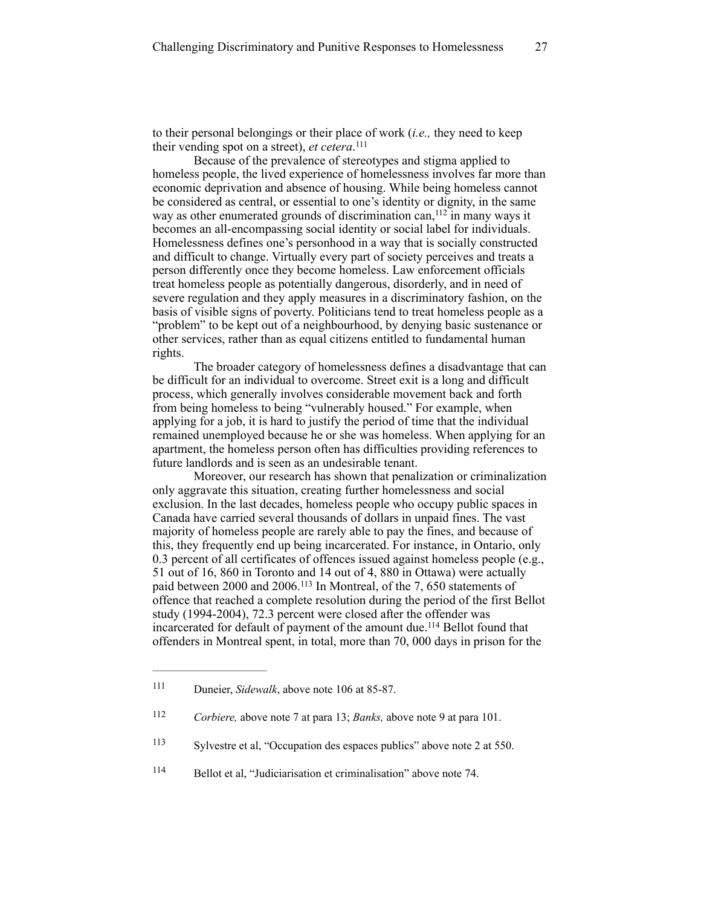to their personal belongings or their place of work (*i.e.,* they need to keep their vending spot on a street), et cetera.<sup>111</sup>

Because of the prevalence of stereotypes and stigma applied to homeless people, the lived experience of homelessness involves far more than economic deprivation and absence of housing. While being homeless cannot be considered as central, or essential to one's identity or dignity, in the same way as other enumerated grounds of discrimination can,  $12$  in many ways it becomes an all-encompassing social identity or social label for individuals. Homelessness defines one's personhood in a way that is socially constructed and difficult to change. Virtually every part of society perceives and treats a person differently once they become homeless. Law enforcement officials treat homeless people as potentially dangerous, disorderly, and in need of severe regulation and they apply measures in a discriminatory fashion, on the basis of visible signs of poverty. Politicians tend to treat homeless people as a "problem" to be kept out of a neighbourhood, by denying basic sustenance or other services, rather than as equal citizens entitled to fundamental human rights.

The broader category of homelessness defines a disadvantage that can be difficult for an individual to overcome. Street exit is a long and difficult process, which generally involves considerable movement back and forth from being homeless to being "vulnerably housed." For example, when applying for a job, it is hard to justify the period of time that the individual remained unemployed because he or she was homeless. When applying for an apartment, the homeless person often has difficulties providing references to future landlords and is seen as an undesirable tenant.

Moreover, our research has shown that penalization or criminalization only aggravate this situation, creating further homelessness and social exclusion. In the last decades, homeless people who occupy public spaces in Canada have carried several thousands of dollars in unpaid fines. The vast majority of homeless people are rarely able to pay the fines, and because of this, they frequently end up being incarcerated. For instance, in Ontario, only 0.3 percent of all certificates of offences issued against homeless people (e.g., 51 out of 16, 860 in Toronto and 14 out of 4, 880 in Ottawa) were actually paid between 2000 and 2006.<sup>113</sup> In Montreal, of the 7, 650 statements of offence that reached a complete resolution during the period of the first Bellot study (1994-2004), 72.3 percent were closed after the offender was incarcerated for default of payment of the amount due.<sup>114</sup> Bellot found that offenders in Montreal spent, in total, more than 70, 000 days in prison for the

114 Bellot et al, "Judiciarisation et criminalisation" above note 74.

Duneier, *Sidewalk*, above note 106 at 85-87. 111

<sup>&</sup>lt;sup>112</sup> *Corbiere, above note 7 at para 13; Banks, above note 9 at para 101.* 

Sylvestre et al, "Occupation des espaces publics" above note 2 at 550. <sup>113</sup>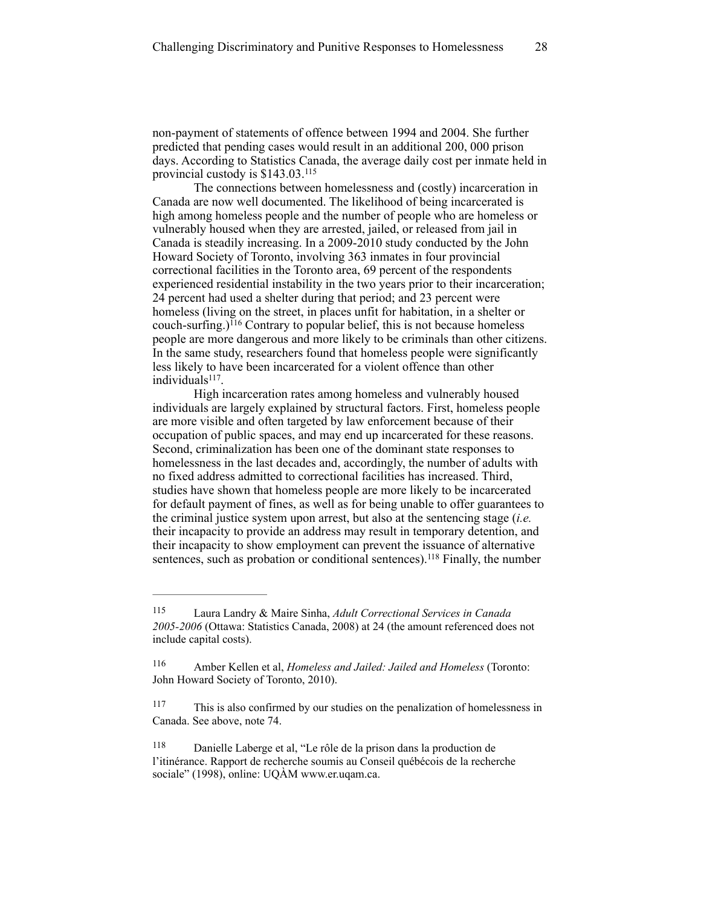non-payment of statements of offence between 1994 and 2004. She further predicted that pending cases would result in an additional 200, 000 prison days. According to Statistics Canada, the average daily cost per inmate held in provincial custody is \$143.03.115

The connections between homelessness and (costly) incarceration in Canada are now well documented. The likelihood of being incarcerated is high among homeless people and the number of people who are homeless or vulnerably housed when they are arrested, jailed, or released from jail in Canada is steadily increasing. In a 2009-2010 study conducted by the John Howard Society of Toronto, involving 363 inmates in four provincial correctional facilities in the Toronto area, 69 percent of the respondents experienced residential instability in the two years prior to their incarceration; 24 percent had used a shelter during that period; and 23 percent were homeless (living on the street, in places unfit for habitation, in a shelter or couch-surfing.) $^{116}$  Contrary to popular belief, this is not because homeless people are more dangerous and more likely to be criminals than other citizens. In the same study, researchers found that homeless people were significantly less likely to have been incarcerated for a violent offence than other  $individuals<sup>117</sup>$ .

High incarceration rates among homeless and vulnerably housed individuals are largely explained by structural factors. First, homeless people are more visible and often targeted by law enforcement because of their occupation of public spaces, and may end up incarcerated for these reasons. Second, criminalization has been one of the dominant state responses to homelessness in the last decades and, accordingly, the number of adults with no fixed address admitted to correctional facilities has increased. Third, studies have shown that homeless people are more likely to be incarcerated for default payment of fines, as well as for being unable to offer guarantees to the criminal justice system upon arrest, but also at the sentencing stage (*i.e.* their incapacity to provide an address may result in temporary detention, and their incapacity to show employment can prevent the issuance of alternative sentences, such as probation or conditional sentences).<sup>118</sup> Finally, the number

Laura Landry & Maire Sinha, *Adult Correctional Services in Canada* <sup>115</sup> *2005-2006* (Ottawa: Statistics Canada, 2008) at 24 (the amount referenced does not include capital costs).

Amber Kellen et al, *Homeless and Jailed: Jailed and Homeless* (Toronto: 116 John Howard Society of Toronto, 2010).

This is also confirmed by our studies on the penalization of homelessness in 117 Canada. See above, note 74.

Danielle Laberge et al, "Le rôle de la prison dans la production de 118 l'itinérance. Rapport de recherche soumis au Conseil québécois de la recherche sociale" (1998), online: UQÀM www.er.uqam.ca.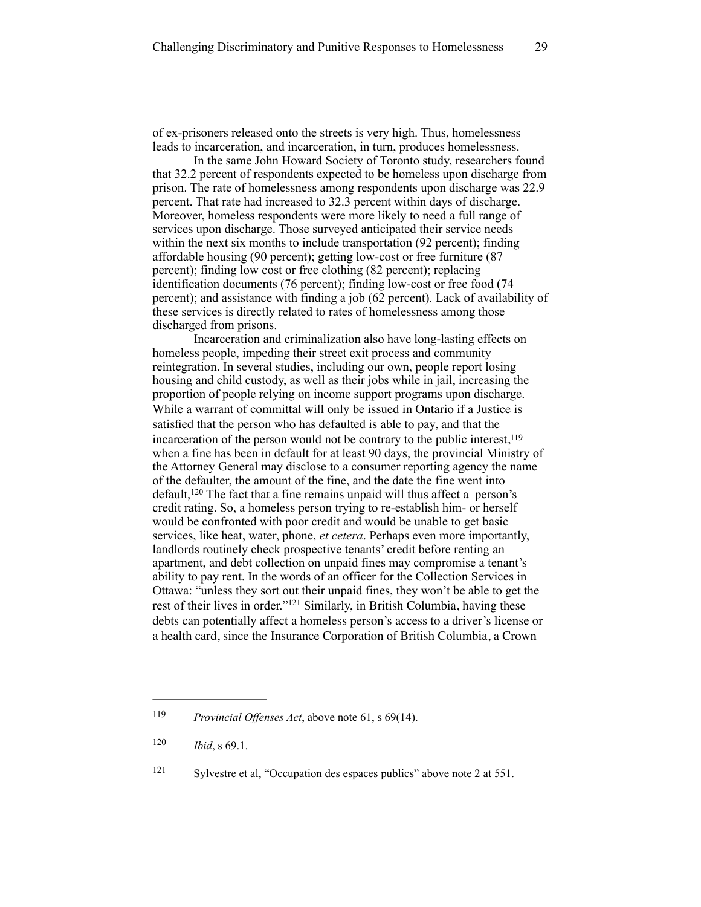of ex-prisoners released onto the streets is very high. Thus, homelessness leads to incarceration, and incarceration, in turn, produces homelessness.

In the same John Howard Society of Toronto study, researchers found that 32.2 percent of respondents expected to be homeless upon discharge from prison. The rate of homelessness among respondents upon discharge was 22.9 percent. That rate had increased to 32.3 percent within days of discharge. Moreover, homeless respondents were more likely to need a full range of services upon discharge. Those surveyed anticipated their service needs within the next six months to include transportation (92 percent); finding affordable housing (90 percent); getting low-cost or free furniture (87 percent); finding low cost or free clothing (82 percent); replacing identification documents (76 percent); finding low-cost or free food (74 percent); and assistance with finding a job (62 percent). Lack of availability of these services is directly related to rates of homelessness among those discharged from prisons.

Incarceration and criminalization also have long-lasting effects on homeless people, impeding their street exit process and community reintegration. In several studies, including our own, people report losing housing and child custody, as well as their jobs while in jail, increasing the proportion of people relying on income support programs upon discharge. While a warrant of committal will only be issued in Ontario if a Justice is satisfied that the person who has defaulted is able to pay, and that the incarceration of the person would not be contrary to the public interest, $119$ when a fine has been in default for at least 90 days, the provincial Ministry of the Attorney General may disclose to a consumer reporting agency the name of the defaulter, the amount of the fine, and the date the fine went into  $default<sub>1</sub><sup>120</sup> The fact that a fine remains unpaid will thus affect a person's$ credit rating. So, a homeless person trying to re-establish him- or herself would be confronted with poor credit and would be unable to get basic services, like heat, water, phone, *et cetera*. Perhaps even more importantly, landlords routinely check prospective tenants' credit before renting an apartment, and debt collection on unpaid fines may compromise a tenant's ability to pay rent. In the words of an officer for the Collection Services in Ottawa: "unless they sort out their unpaid fines, they won't be able to get the rest of their lives in order."<sup>121</sup> Similarly, in British Columbia, having these debts can potentially affect a homeless person's access to a driver's license or a health card, since the Insurance Corporation of British Columbia, a Crown

<sup>&</sup>lt;sup>119</sup> *Provincial Offenses Act*, above note 61, s 69(14).

 $120$  *Ibid*, s 69.1.

 $Sylvestre et al, "Occupation des espaces publics" above note 2 at 551.$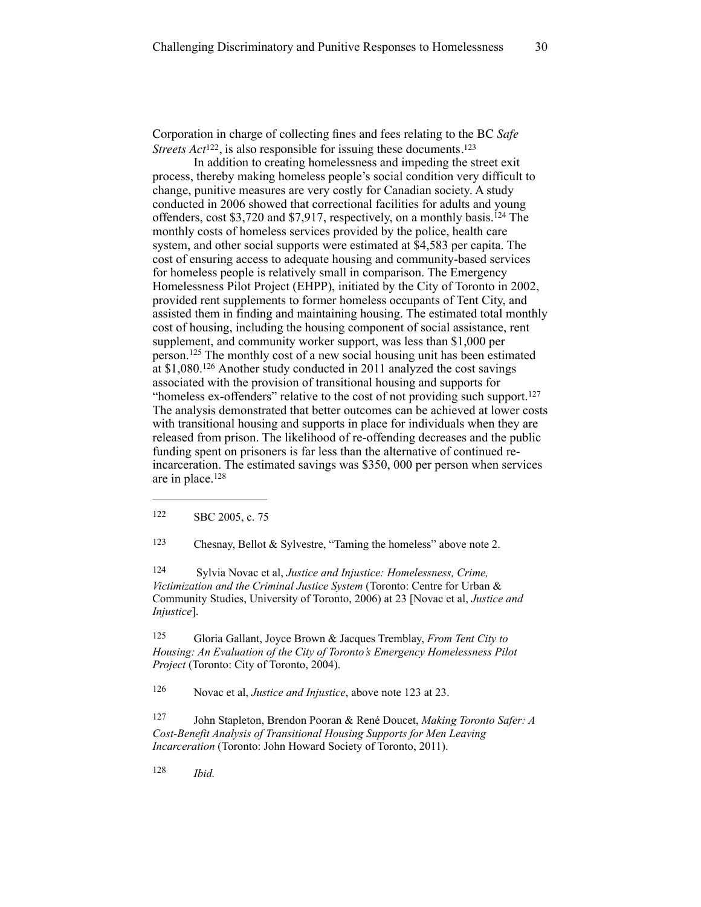Corporation in charge of collecting fines and fees relating to the BC *Safe Streets Act*<sup>122</sup>, is also responsible for issuing these documents.<sup>123</sup>

In addition to creating homelessness and impeding the street exit process, thereby making homeless people's social condition very difficult to change, punitive measures are very costly for Canadian society. A study conducted in 2006 showed that correctional facilities for adults and young offenders, cost \$3,720 and \$7,917, respectively, on a monthly basis.<sup>124</sup> The monthly costs of homeless services provided by the police, health care system, and other social supports were estimated at \$4,583 per capita. The cost of ensuring access to adequate housing and community-based services for homeless people is relatively small in comparison. The Emergency Homelessness Pilot Project (EHPP), initiated by the City of Toronto in 2002, provided rent supplements to former homeless occupants of Tent City, and assisted them in finding and maintaining housing. The estimated total monthly cost of housing, including the housing component of social assistance, rent supplement, and community worker support, was less than \$1,000 per person.<sup> $125$ </sup> The monthly cost of a new social housing unit has been estimated at  $$1,080$ .<sup>126</sup> Another study conducted in 2011 analyzed the cost savings associated with the provision of transitional housing and supports for "homeless ex-offenders" relative to the cost of not providing such support.<sup>127</sup> The analysis demonstrated that better outcomes can be achieved at lower costs with transitional housing and supports in place for individuals when they are released from prison. The likelihood of re-offending decreases and the public funding spent on prisoners is far less than the alternative of continued reincarceration. The estimated savings was \$350, 000 per person when services are in place.128

122 SBC 2005, c. 75

<sup>123</sup> Chesnay, Bellot & Sylvestre, "Taming the homeless" above note 2.

 Sylvia Novac et al, *Justice and Injustice: Homelessness, Crime,* <sup>124</sup> *Victimization and the Criminal Justice System* (Toronto: Centre for Urban & Community Studies, University of Toronto, 2006) at 23 [Novac et al, *Justice and Injustice*].

 Gloria Gallant, Joyce Brown & Jacques Tremblay, *From Tent City to* <sup>125</sup> *Housing: An Evaluation of the City of Toronto's Emergency Homelessness Pilot Project* (Toronto: City of Toronto, 2004).

<sup>126</sup> Novac et al, *Justice and Injustice*, above note 123 at 23.

 John Stapleton, Brendon Pooran & René Doucet, *Making Toronto Safer: A* <sup>127</sup> *Cost-Benefit Analysis of Transitional Housing Supports for Men Leaving Incarceration* (Toronto: John Howard Society of Toronto, 2011).

 *Ibid.* <sup>128</sup>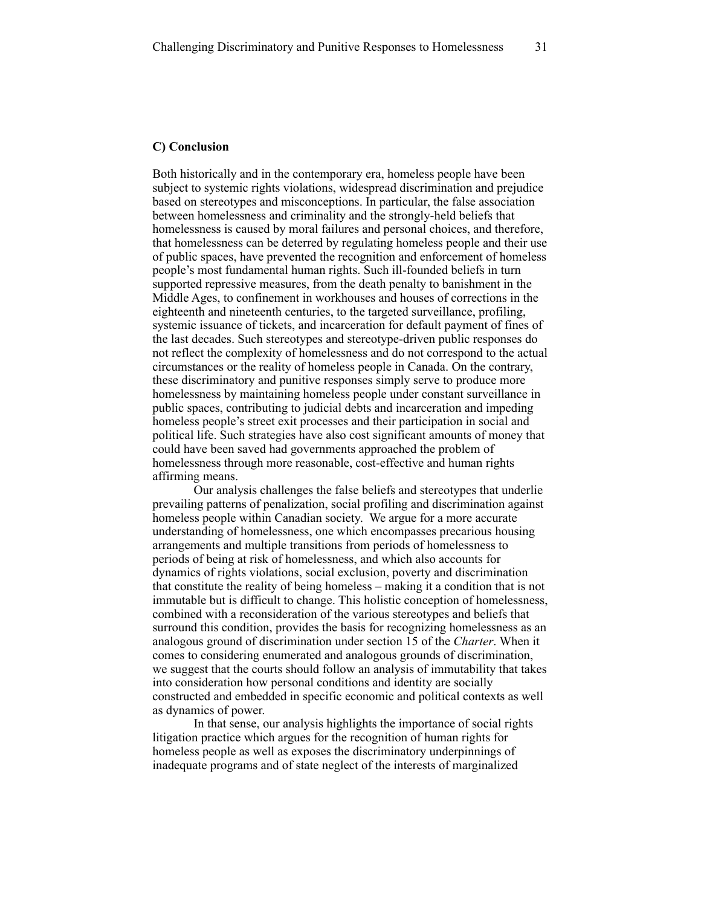#### **C) Conclusion**

Both historically and in the contemporary era, homeless people have been subject to systemic rights violations, widespread discrimination and prejudice based on stereotypes and misconceptions. In particular, the false association between homelessness and criminality and the strongly-held beliefs that homelessness is caused by moral failures and personal choices, and therefore, that homelessness can be deterred by regulating homeless people and their use of public spaces, have prevented the recognition and enforcement of homeless people's most fundamental human rights. Such ill-founded beliefs in turn supported repressive measures, from the death penalty to banishment in the Middle Ages, to confinement in workhouses and houses of corrections in the eighteenth and nineteenth centuries, to the targeted surveillance, profiling, systemic issuance of tickets, and incarceration for default payment of fines of the last decades. Such stereotypes and stereotype-driven public responses do not reflect the complexity of homelessness and do not correspond to the actual circumstances or the reality of homeless people in Canada. On the contrary, these discriminatory and punitive responses simply serve to produce more homelessness by maintaining homeless people under constant surveillance in public spaces, contributing to judicial debts and incarceration and impeding homeless people's street exit processes and their participation in social and political life. Such strategies have also cost significant amounts of money that could have been saved had governments approached the problem of homelessness through more reasonable, cost-effective and human rights affirming means.

Our analysis challenges the false beliefs and stereotypes that underlie prevailing patterns of penalization, social profiling and discrimination against homeless people within Canadian society. We argue for a more accurate understanding of homelessness, one which encompasses precarious housing arrangements and multiple transitions from periods of homelessness to periods of being at risk of homelessness, and which also accounts for dynamics of rights violations, social exclusion, poverty and discrimination that constitute the reality of being homeless – making it a condition that is not immutable but is difficult to change. This holistic conception of homelessness, combined with a reconsideration of the various stereotypes and beliefs that surround this condition, provides the basis for recognizing homelessness as an analogous ground of discrimination under section 15 of the *Charter*. When it comes to considering enumerated and analogous grounds of discrimination, we suggest that the courts should follow an analysis of immutability that takes into consideration how personal conditions and identity are socially constructed and embedded in specific economic and political contexts as well as dynamics of power.

In that sense, our analysis highlights the importance of social rights litigation practice which argues for the recognition of human rights for homeless people as well as exposes the discriminatory underpinnings of inadequate programs and of state neglect of the interests of marginalized